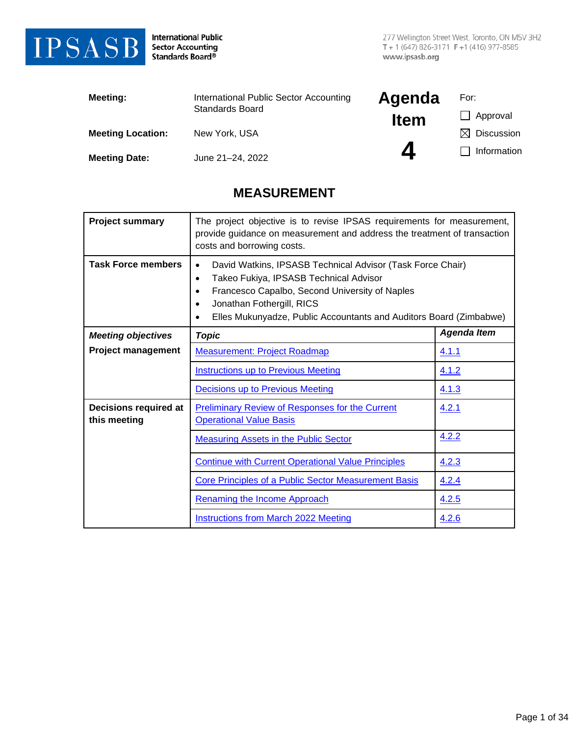

International Public<br>Sector Accounting<br>Standards Board®

| <b>Meeting:</b>          | International Public Sector Accounting<br><b>Standards Board</b> | Agenda           | For:            |
|--------------------------|------------------------------------------------------------------|------------------|-----------------|
|                          |                                                                  | <b>Item</b>      | Approval        |
| <b>Meeting Location:</b> | New York, USA                                                    |                  | Discussion<br>M |
| <b>Meeting Date:</b>     | June 21-24, 2022                                                 | $\boldsymbol{a}$ | Information     |

### **MEASUREMENT**

| <b>Project summary</b>                | The project objective is to revise IPSAS requirements for measurement,<br>provide guidance on measurement and address the treatment of transaction<br>costs and borrowing costs.                                                                                                 |                    |
|---------------------------------------|----------------------------------------------------------------------------------------------------------------------------------------------------------------------------------------------------------------------------------------------------------------------------------|--------------------|
| <b>Task Force members</b>             | David Watkins, IPSASB Technical Advisor (Task Force Chair)<br>Takeo Fukiya, IPSASB Technical Advisor<br>$\bullet$<br>Francesco Capalbo, Second University of Naples<br>Jonathan Fothergill, RICS<br>٠<br>Elles Mukunyadze, Public Accountants and Auditors Board (Zimbabwe)<br>٠ |                    |
| <b>Meeting objectives</b>             | <b>Topic</b>                                                                                                                                                                                                                                                                     | <b>Agenda Item</b> |
| <b>Project management</b>             | <b>Measurement: Project Roadmap</b>                                                                                                                                                                                                                                              | 4.1.1              |
|                                       | <b>Instructions up to Previous Meeting</b>                                                                                                                                                                                                                                       | 4.1.2              |
|                                       | Decisions up to Previous Meeting                                                                                                                                                                                                                                                 | 4.1.3              |
| Decisions required at<br>this meeting | <b>Preliminary Review of Responses for the Current</b><br><b>Operational Value Basis</b>                                                                                                                                                                                         | 4.2.1              |
|                                       | <b>Measuring Assets in the Public Sector</b>                                                                                                                                                                                                                                     | 4.2.2              |
|                                       | <b>Continue with Current Operational Value Principles</b>                                                                                                                                                                                                                        | 4.2.3              |
|                                       | <b>Core Principles of a Public Sector Measurement Basis</b>                                                                                                                                                                                                                      | <u>4.2.4</u>       |
|                                       | <b>Renaming the Income Approach</b>                                                                                                                                                                                                                                              | 4.2.5              |
|                                       | <b>Instructions from March 2022 Meeting</b>                                                                                                                                                                                                                                      | 4.2.6              |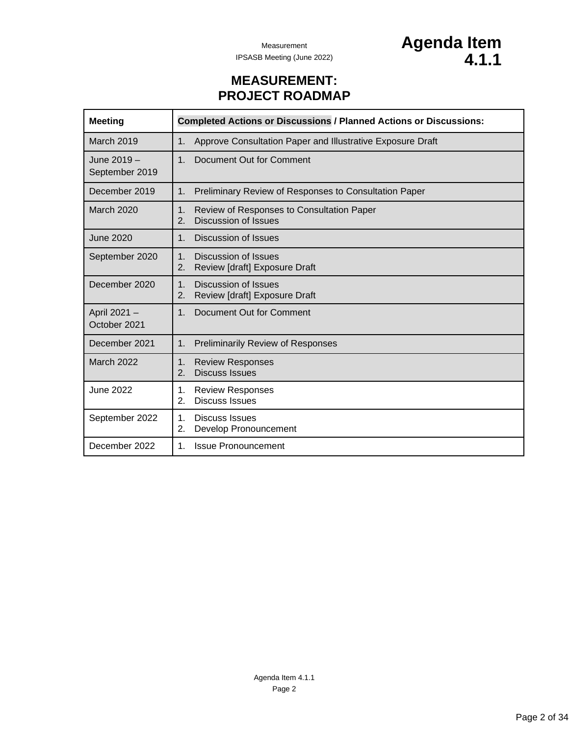### **MEASUREMENT: PROJECT ROADMAP**

<span id="page-1-0"></span>

| <b>Meeting</b>                | <b>Completed Actions or Discussions / Planned Actions or Discussions:</b>                 |
|-------------------------------|-------------------------------------------------------------------------------------------|
| March 2019                    | Approve Consultation Paper and Illustrative Exposure Draft<br>1 <sub>1</sub>              |
| June 2019 -<br>September 2019 | Document Out for Comment<br>1 <sub>1</sub>                                                |
| December 2019                 | Preliminary Review of Responses to Consultation Paper<br>1.                               |
| <b>March 2020</b>             | Review of Responses to Consultation Paper<br>$\mathbf{1}$ .<br>Discussion of Issues<br>2. |
| <b>June 2020</b>              | Discussion of Issues<br>1 <sub>1</sub>                                                    |
| September 2020                | 1 <sub>1</sub><br>Discussion of Issues<br>Review [draft] Exposure Draft<br>2.             |
| December 2020                 | 1 <sub>1</sub><br><b>Discussion of Issues</b><br>Review [draft] Exposure Draft<br>2.      |
| April 2021 -<br>October 2021  | 1.<br>Document Out for Comment                                                            |
| December 2021                 | <b>Preliminarily Review of Responses</b><br>1.                                            |
| March 2022                    | 1 <sub>1</sub><br><b>Review Responses</b><br><b>Discuss Issues</b><br>2.                  |
| <b>June 2022</b>              | 1.<br><b>Review Responses</b><br><b>Discuss Issues</b><br>2.                              |
| September 2022                | 1.<br><b>Discuss Issues</b><br>2.<br>Develop Pronouncement                                |
| December 2022                 | <b>Issue Pronouncement</b><br>1.                                                          |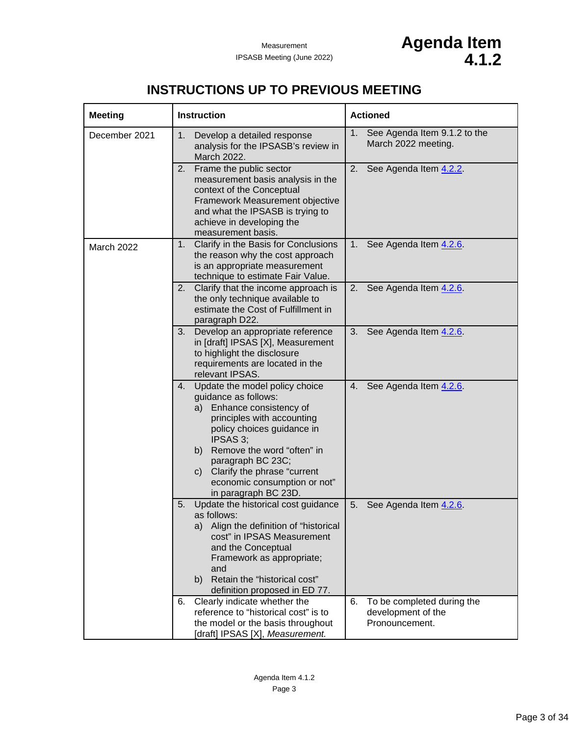## **INSTRUCTIONS UP TO PREVIOUS MEETING**

<span id="page-2-0"></span>

| <b>Meeting</b> | <b>Instruction</b>                                                                                                                                                                                                                                                                                                | <b>Actioned</b>                                                          |
|----------------|-------------------------------------------------------------------------------------------------------------------------------------------------------------------------------------------------------------------------------------------------------------------------------------------------------------------|--------------------------------------------------------------------------|
| December 2021  | Develop a detailed response<br>1.<br>analysis for the IPSASB's review in<br>March 2022.                                                                                                                                                                                                                           | 1.<br>See Agenda Item 9.1.2 to the<br>March 2022 meeting.                |
|                | Frame the public sector<br>2.<br>measurement basis analysis in the<br>context of the Conceptual<br>Framework Measurement objective<br>and what the IPSASB is trying to<br>achieve in developing the<br>measurement basis.                                                                                         | 2.<br>See Agenda Item 4.2.2                                              |
| March 2022     | 1. Clarify in the Basis for Conclusions<br>the reason why the cost approach<br>is an appropriate measurement<br>technique to estimate Fair Value.                                                                                                                                                                 | See Agenda Item 4.2.6<br>1.                                              |
|                | 2. Clarify that the income approach is<br>the only technique available to<br>estimate the Cost of Fulfillment in<br>paragraph D22.                                                                                                                                                                                | See Agenda Item 4.2.6<br>2.                                              |
|                | 3. Develop an appropriate reference<br>in [draft] IPSAS [X], Measurement<br>to highlight the disclosure<br>requirements are located in the<br>relevant IPSAS.                                                                                                                                                     | See Agenda Item 4.2.6<br>3.                                              |
|                | 4. Update the model policy choice<br>guidance as follows:<br>Enhance consistency of<br>a)<br>principles with accounting<br>policy choices guidance in<br>IPSAS 3;<br>b) Remove the word "often" in<br>paragraph BC 23C;<br>c) Clarify the phrase "current<br>economic consumption or not"<br>in paragraph BC 23D. | See Agenda Item 4.2.6<br>4.                                              |
|                | Update the historical cost guidance<br>5.<br>as follows:<br>Align the definition of "historical<br>a)<br>cost" in IPSAS Measurement<br>and the Conceptual<br>Framework as appropriate;<br>and<br>Retain the "historical cost"<br>b)<br>definition proposed in ED 77.                                              | See Agenda Item 4.2.6<br>5.                                              |
|                | Clearly indicate whether the<br>6.<br>reference to "historical cost" is to<br>the model or the basis throughout<br>[draft] IPSAS [X], Measurement.                                                                                                                                                                | To be completed during the<br>6.<br>development of the<br>Pronouncement. |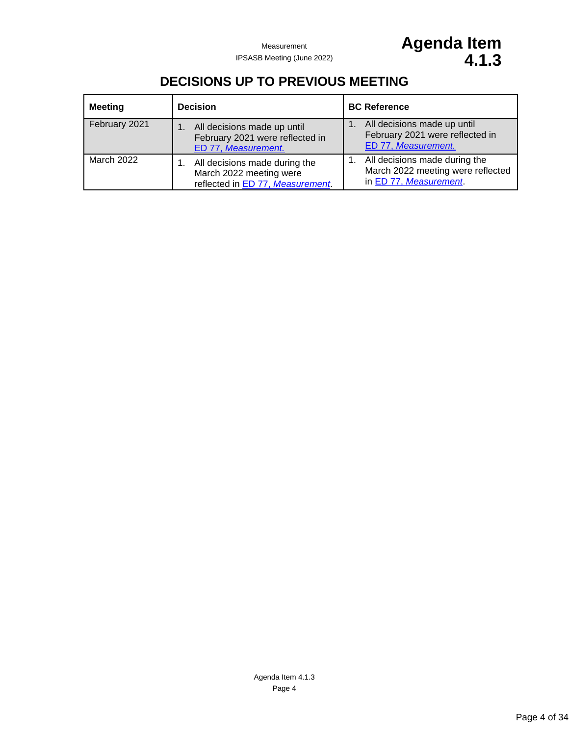## **DECISIONS UP TO PREVIOUS MEETING**

<span id="page-3-0"></span>

| <b>Meeting</b> | <b>Decision</b>                                                                              | <b>BC Reference</b>                                                                          |
|----------------|----------------------------------------------------------------------------------------------|----------------------------------------------------------------------------------------------|
| February 2021  | All decisions made up until<br>February 2021 were reflected in<br>ED 77, Measurement.        | All decisions made up until<br>February 2021 were reflected in<br>ED 77, Measurement.        |
| March 2022     | All decisions made during the<br>March 2022 meeting were<br>reflected in ED 77, Measurement. | All decisions made during the<br>March 2022 meeting were reflected<br>in ED 77, Measurement. |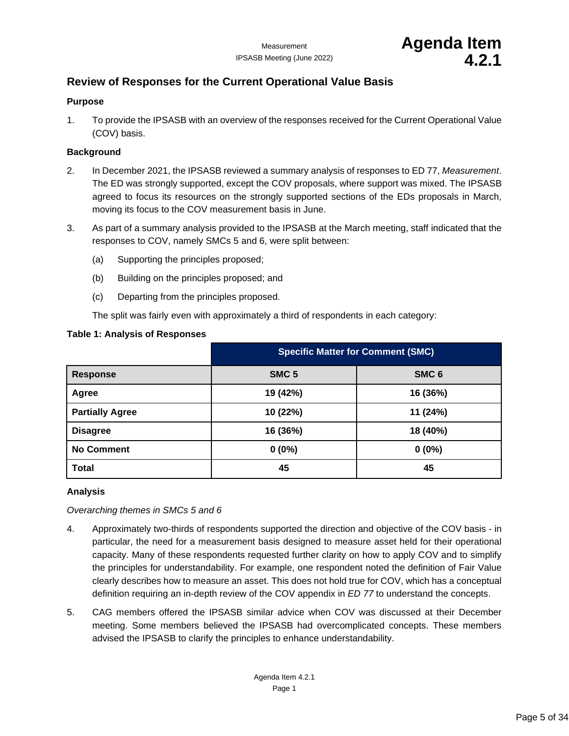### <span id="page-4-1"></span><span id="page-4-0"></span>**Review of Responses for the Current Operational Value Basis**

### **Purpose**

1. To provide the IPSASB with an overview of the responses received for the Current Operational Value (COV) basis.

### **Background**

- 2. In December 2021, the IPSASB reviewed a summary analysis of responses to ED 77, *Measurement*. The ED was strongly supported, except the COV proposals, where support was mixed. The IPSASB agreed to focus its resources on the strongly supported sections of the EDs proposals in March, moving its focus to the COV measurement basis in June.
- 3. As part of a summary analysis provided to the IPSASB at the March meeting, staff indicated that the responses to COV, namely SMCs 5 and 6, were split between:
	- (a) Supporting the principles proposed;
	- (b) Building on the principles proposed; and
	- (c) Departing from the principles proposed.

The split was fairly even with approximately a third of respondents in each category:

|                        | <b>Specific Matter for Comment (SMC)</b> |                  |
|------------------------|------------------------------------------|------------------|
| <b>Response</b>        | SMC <sub>5</sub>                         | SMC <sub>6</sub> |
| Agree                  | 19 (42%)                                 | 16 (36%)         |
| <b>Partially Agree</b> | 10 (22%)                                 | 11 (24%)         |
| <b>Disagree</b>        | 16 (36%)                                 | 18 (40%)         |
| <b>No Comment</b>      | $0(0\%)$                                 | $0(0\%)$         |
| <b>Total</b>           | 45                                       | 45               |

### **Table 1: Analysis of Responses**

### **Analysis**

*Overarching themes in SMCs 5 and 6*

- 4. Approximately two-thirds of respondents supported the direction and objective of the COV basis in particular, the need for a measurement basis designed to measure asset held for their operational capacity. Many of these respondents requested further clarity on how to apply COV and to simplify the principles for understandability. For example, one respondent noted the definition of Fair Value clearly describes how to measure an asset. This does not hold true for COV, which has a conceptual definition requiring an in-depth review of the COV appendix in *ED 77* to understand the concepts.
- 5. CAG members offered the IPSASB similar advice when COV was discussed at their December meeting. Some members believed the IPSASB had overcomplicated concepts. These members advised the IPSASB to clarify the principles to enhance understandability.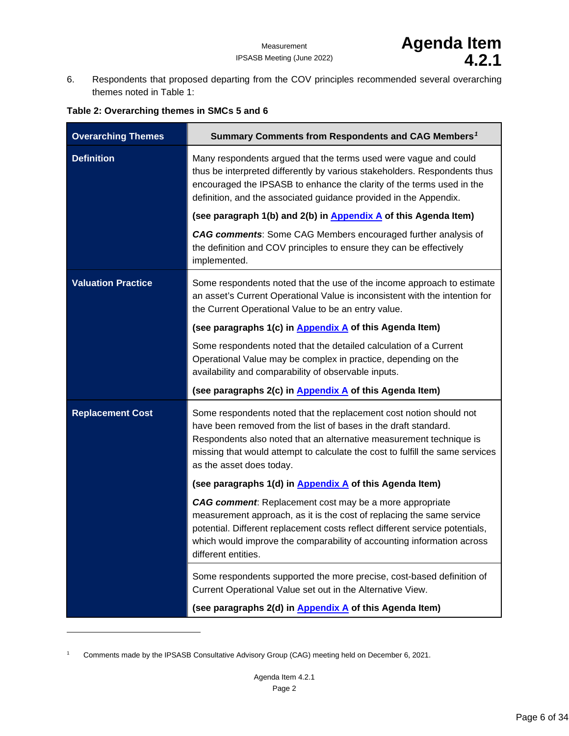6. Respondents that proposed departing from the COV principles recommended several overarching themes noted in Table 1:

| <b>Overarching Themes</b> | Summary Comments from Respondents and CAG Members <sup>1</sup>                                                                                                                                                                                                                                                            |
|---------------------------|---------------------------------------------------------------------------------------------------------------------------------------------------------------------------------------------------------------------------------------------------------------------------------------------------------------------------|
| <b>Definition</b>         | Many respondents argued that the terms used were vague and could<br>thus be interpreted differently by various stakeholders. Respondents thus<br>encouraged the IPSASB to enhance the clarity of the terms used in the<br>definition, and the associated guidance provided in the Appendix.                               |
|                           | (see paragraph 1(b) and 2(b) in Appendix A of this Agenda Item)                                                                                                                                                                                                                                                           |
|                           | <b>CAG comments:</b> Some CAG Members encouraged further analysis of<br>the definition and COV principles to ensure they can be effectively<br>implemented.                                                                                                                                                               |
| <b>Valuation Practice</b> | Some respondents noted that the use of the income approach to estimate<br>an asset's Current Operational Value is inconsistent with the intention for<br>the Current Operational Value to be an entry value.                                                                                                              |
|                           | (see paragraphs 1(c) in Appendix A of this Agenda Item)                                                                                                                                                                                                                                                                   |
|                           | Some respondents noted that the detailed calculation of a Current<br>Operational Value may be complex in practice, depending on the<br>availability and comparability of observable inputs.                                                                                                                               |
|                           | (see paragraphs 2(c) in Appendix A of this Agenda Item)                                                                                                                                                                                                                                                                   |
| <b>Replacement Cost</b>   | Some respondents noted that the replacement cost notion should not<br>have been removed from the list of bases in the draft standard.<br>Respondents also noted that an alternative measurement technique is<br>missing that would attempt to calculate the cost to fulfill the same services<br>as the asset does today. |
|                           | (see paragraphs 1(d) in <b>Appendix A</b> of this Agenda Item)                                                                                                                                                                                                                                                            |
|                           | <b>CAG comment:</b> Replacement cost may be a more appropriate<br>measurement approach, as it is the cost of replacing the same service<br>potential. Different replacement costs reflect different service potentials,<br>which would improve the comparability of accounting information across<br>different entities.  |
|                           | Some respondents supported the more precise, cost-based definition of<br>Current Operational Value set out in the Alternative View.                                                                                                                                                                                       |
|                           | (see paragraphs 2(d) in <b>Appendix A</b> of this Agenda Item)                                                                                                                                                                                                                                                            |

### **Table 2: Overarching themes in SMCs 5 and 6**

<span id="page-5-0"></span><sup>1</sup> Comments made by the IPSASB Consultative Advisory Group (CAG) meeting held on December 6, 2021.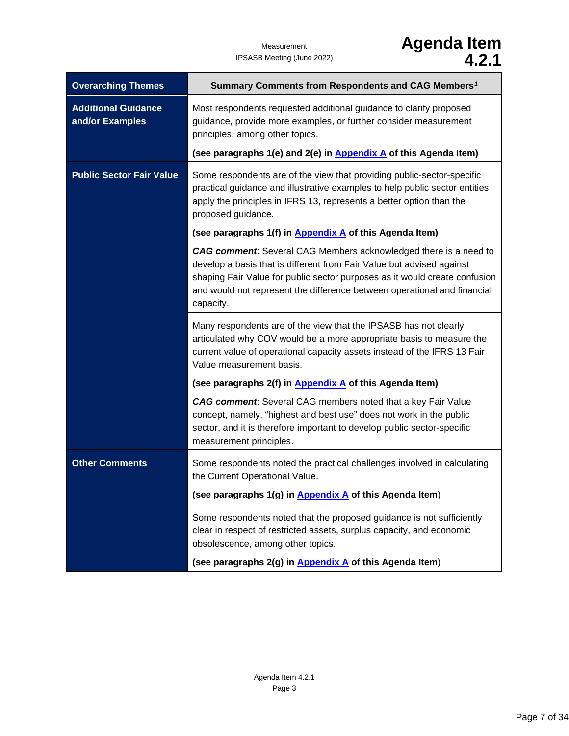## Measurement **Agenda Item** IPSASB Meeting (June 2022) **4.2.1**

| <b>Overarching Themes</b>                     | Summary Comments from Respondents and CAG Members <sup>1</sup>                                                                                                                                                                                                                                                          |
|-----------------------------------------------|-------------------------------------------------------------------------------------------------------------------------------------------------------------------------------------------------------------------------------------------------------------------------------------------------------------------------|
| <b>Additional Guidance</b><br>and/or Examples | Most respondents requested additional guidance to clarify proposed<br>guidance, provide more examples, or further consider measurement<br>principles, among other topics.                                                                                                                                               |
|                                               | (see paragraphs 1(e) and 2(e) in Appendix A of this Agenda Item)                                                                                                                                                                                                                                                        |
| <b>Public Sector Fair Value</b>               | Some respondents are of the view that providing public-sector-specific<br>practical guidance and illustrative examples to help public sector entities<br>apply the principles in IFRS 13, represents a better option than the<br>proposed guidance.                                                                     |
|                                               | (see paragraphs 1(f) in <b>Appendix A</b> of this Agenda Item)                                                                                                                                                                                                                                                          |
|                                               | <b>CAG comment:</b> Several CAG Members acknowledged there is a need to<br>develop a basis that is different from Fair Value but advised against<br>shaping Fair Value for public sector purposes as it would create confusion<br>and would not represent the difference between operational and financial<br>capacity. |
|                                               | Many respondents are of the view that the IPSASB has not clearly<br>articulated why COV would be a more appropriate basis to measure the<br>current value of operational capacity assets instead of the IFRS 13 Fair<br>Value measurement basis.                                                                        |
|                                               | (see paragraphs 2(f) in Appendix A of this Agenda Item)                                                                                                                                                                                                                                                                 |
|                                               | CAG comment: Several CAG members noted that a key Fair Value<br>concept, namely, "highest and best use" does not work in the public<br>sector, and it is therefore important to develop public sector-specific<br>measurement principles.                                                                               |
| <b>Other Comments</b>                         | Some respondents noted the practical challenges involved in calculating<br>the Current Operational Value.                                                                                                                                                                                                               |
|                                               | (see paragraphs 1(g) in Appendix A of this Agenda Item)                                                                                                                                                                                                                                                                 |
|                                               | Some respondents noted that the proposed guidance is not sufficiently<br>clear in respect of restricted assets, surplus capacity, and economic<br>obsolescence, among other topics.                                                                                                                                     |
|                                               | (see paragraphs 2(g) in Appendix A of this Agenda Item)                                                                                                                                                                                                                                                                 |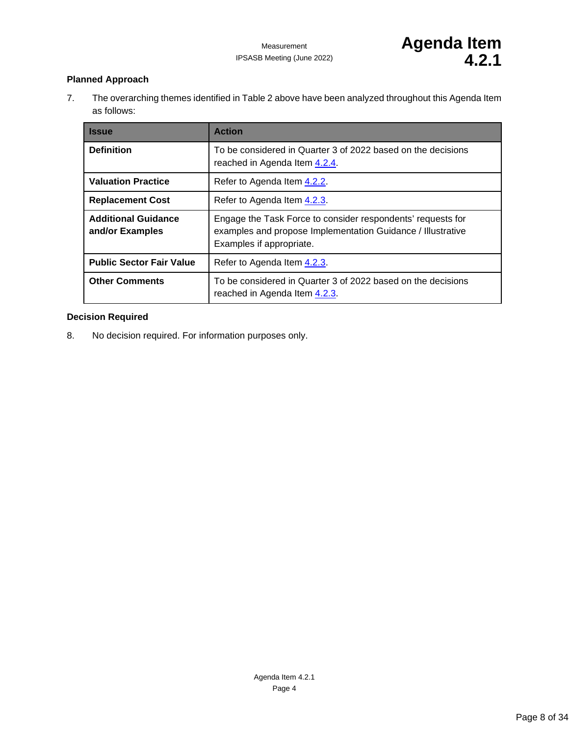### **Planned Approach**

7. The overarching themes identified in Table 2 above have been analyzed throughout this Agenda Item as follows:

| <b>Issue</b>                                  | <b>Action</b>                                                                                                                                          |
|-----------------------------------------------|--------------------------------------------------------------------------------------------------------------------------------------------------------|
| <b>Definition</b>                             | To be considered in Quarter 3 of 2022 based on the decisions<br>reached in Agenda Item 4.2.4.                                                          |
| <b>Valuation Practice</b>                     | Refer to Agenda Item 4.2.2.                                                                                                                            |
| <b>Replacement Cost</b>                       | Refer to Agenda Item 4.2.3.                                                                                                                            |
| <b>Additional Guidance</b><br>and/or Examples | Engage the Task Force to consider respondents' requests for<br>examples and propose Implementation Guidance / Illustrative<br>Examples if appropriate. |
| <b>Public Sector Fair Value</b>               | Refer to Agenda Item 4.2.3.                                                                                                                            |
| <b>Other Comments</b>                         | To be considered in Quarter 3 of 2022 based on the decisions<br>reached in Agenda Item 4.2.3.                                                          |

### **Decision Required**

8. No decision required. For information purposes only.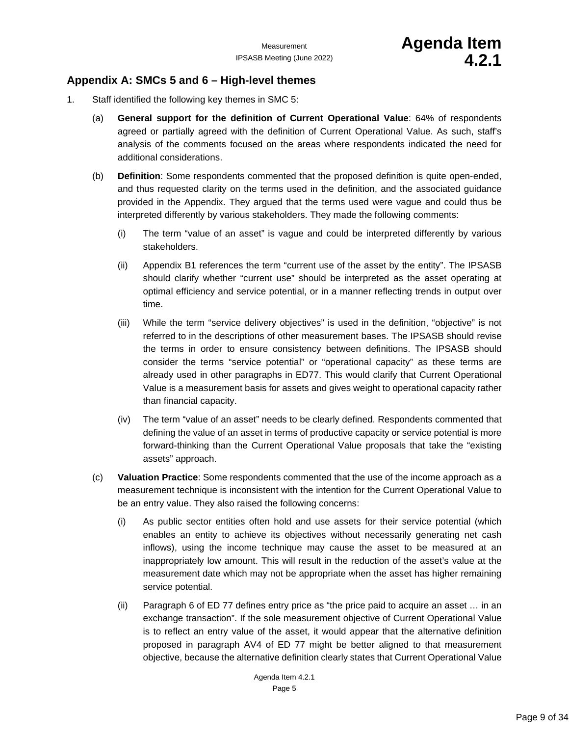### <span id="page-8-0"></span>**Appendix A: SMCs 5 and 6 – High-level themes**

- 1. Staff identified the following key themes in SMC 5:
	- (a) **General support for the definition of Current Operational Value**: 64% of respondents agreed or partially agreed with the definition of Current Operational Value. As such, staff's analysis of the comments focused on the areas where respondents indicated the need for additional considerations.
	- (b) **Definition**: Some respondents commented that the proposed definition is quite open-ended, and thus requested clarity on the terms used in the definition, and the associated guidance provided in the Appendix. They argued that the terms used were vague and could thus be interpreted differently by various stakeholders. They made the following comments:
		- (i) The term "value of an asset" is vague and could be interpreted differently by various stakeholders.
		- (ii) Appendix B1 references the term "current use of the asset by the entity". The IPSASB should clarify whether "current use" should be interpreted as the asset operating at optimal efficiency and service potential, or in a manner reflecting trends in output over time.
		- (iii) While the term "service delivery objectives" is used in the definition, "objective" is not referred to in the descriptions of other measurement bases. The IPSASB should revise the terms in order to ensure consistency between definitions. The IPSASB should consider the terms "service potential" or "operational capacity" as these terms are already used in other paragraphs in ED77. This would clarify that Current Operational Value is a measurement basis for assets and gives weight to operational capacity rather than financial capacity.
		- (iv) The term "value of an asset" needs to be clearly defined. Respondents commented that defining the value of an asset in terms of productive capacity or service potential is more forward-thinking than the Current Operational Value proposals that take the "existing assets" approach.
	- (c) **Valuation Practice**: Some respondents commented that the use of the income approach as a measurement technique is inconsistent with the intention for the Current Operational Value to be an entry value. They also raised the following concerns:
		- (i) As public sector entities often hold and use assets for their service potential (which enables an entity to achieve its objectives without necessarily generating net cash inflows), using the income technique may cause the asset to be measured at an inappropriately low amount. This will result in the reduction of the asset's value at the measurement date which may not be appropriate when the asset has higher remaining service potential.
		- (ii) Paragraph 6 of ED 77 defines entry price as "the price paid to acquire an asset … in an exchange transaction". If the sole measurement objective of Current Operational Value is to reflect an entry value of the asset, it would appear that the alternative definition proposed in paragraph AV4 of ED 77 might be better aligned to that measurement objective, because the alternative definition clearly states that Current Operational Value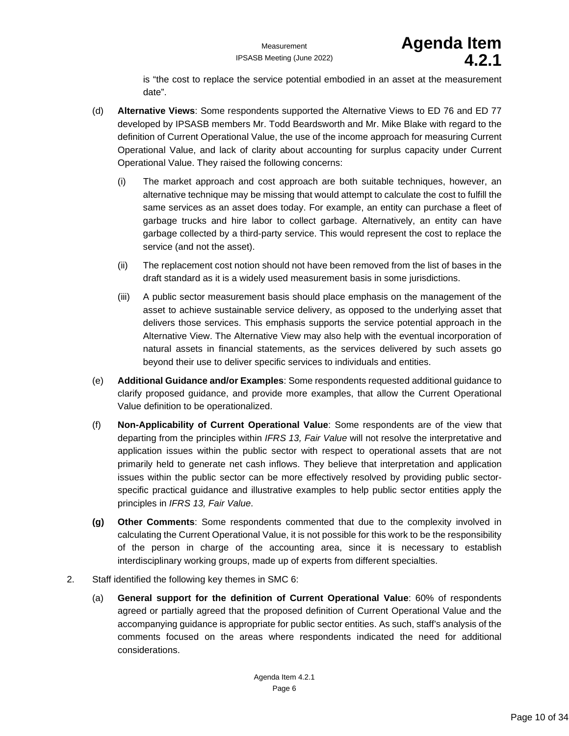is "the cost to replace the service potential embodied in an asset at the measurement date".

- (d) **Alternative Views**: Some respondents supported the Alternative Views to ED 76 and ED 77 developed by IPSASB members Mr. Todd Beardsworth and Mr. Mike Blake with regard to the definition of Current Operational Value, the use of the income approach for measuring Current Operational Value, and lack of clarity about accounting for surplus capacity under Current Operational Value. They raised the following concerns:
	- (i) The market approach and cost approach are both suitable techniques, however, an alternative technique may be missing that would attempt to calculate the cost to fulfill the same services as an asset does today. For example, an entity can purchase a fleet of garbage trucks and hire labor to collect garbage. Alternatively, an entity can have garbage collected by a third-party service. This would represent the cost to replace the service (and not the asset).
	- (ii) The replacement cost notion should not have been removed from the list of bases in the draft standard as it is a widely used measurement basis in some jurisdictions.
	- (iii) A public sector measurement basis should place emphasis on the management of the asset to achieve sustainable service delivery, as opposed to the underlying asset that delivers those services. This emphasis supports the service potential approach in the Alternative View. The Alternative View may also help with the eventual incorporation of natural assets in financial statements, as the services delivered by such assets go beyond their use to deliver specific services to individuals and entities.
- (e) **Additional Guidance and/or Examples**: Some respondents requested additional guidance to clarify proposed guidance, and provide more examples, that allow the Current Operational Value definition to be operationalized.
- (f) **Non-Applicability of Current Operational Value**: Some respondents are of the view that departing from the principles within *IFRS 13, Fair Value* will not resolve the interpretative and application issues within the public sector with respect to operational assets that are not primarily held to generate net cash inflows. They believe that interpretation and application issues within the public sector can be more effectively resolved by providing public sectorspecific practical guidance and illustrative examples to help public sector entities apply the principles in *IFRS 13, Fair Value*.
- **(g) Other Comments**: Some respondents commented that due to the complexity involved in calculating the Current Operational Value, it is not possible for this work to be the responsibility of the person in charge of the accounting area, since it is necessary to establish interdisciplinary working groups, made up of experts from different specialties.
- 2. Staff identified the following key themes in SMC 6:
	- (a) **General support for the definition of Current Operational Value**: 60% of respondents agreed or partially agreed that the proposed definition of Current Operational Value and the accompanying guidance is appropriate for public sector entities. As such, staff's analysis of the comments focused on the areas where respondents indicated the need for additional considerations.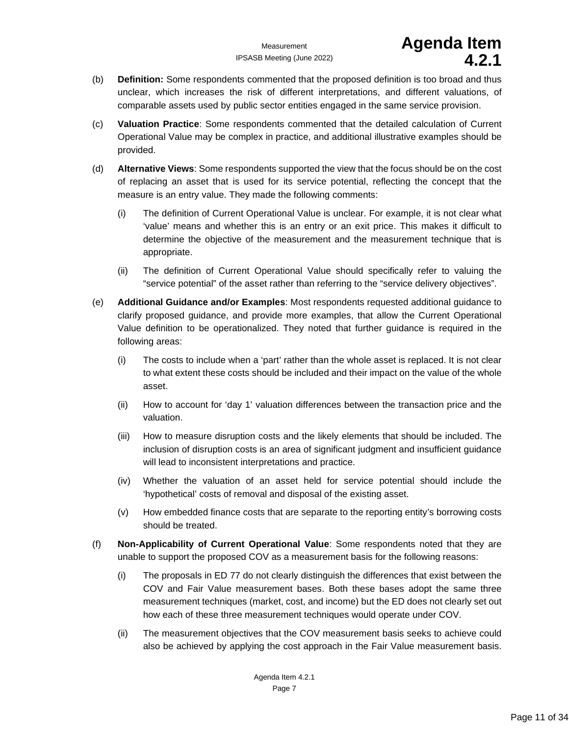- (b) **Definition:** Some respondents commented that the proposed definition is too broad and thus unclear, which increases the risk of different interpretations, and different valuations, of comparable assets used by public sector entities engaged in the same service provision.
- (c) **Valuation Practice**: Some respondents commented that the detailed calculation of Current Operational Value may be complex in practice, and additional illustrative examples should be provided.
- (d) **Alternative Views**: Some respondents supported the view that the focus should be on the cost of replacing an asset that is used for its service potential, reflecting the concept that the measure is an entry value. They made the following comments:
	- (i) The definition of Current Operational Value is unclear. For example, it is not clear what 'value' means and whether this is an entry or an exit price. This makes it difficult to determine the objective of the measurement and the measurement technique that is appropriate.
	- (ii) The definition of Current Operational Value should specifically refer to valuing the "service potential" of the asset rather than referring to the "service delivery objectives".
- (e) **Additional Guidance and/or Examples**: Most respondents requested additional guidance to clarify proposed guidance, and provide more examples, that allow the Current Operational Value definition to be operationalized. They noted that further guidance is required in the following areas:
	- (i) The costs to include when a 'part' rather than the whole asset is replaced. It is not clear to what extent these costs should be included and their impact on the value of the whole asset.
	- (ii) How to account for 'day 1' valuation differences between the transaction price and the valuation.
	- (iii) How to measure disruption costs and the likely elements that should be included. The inclusion of disruption costs is an area of significant judgment and insufficient guidance will lead to inconsistent interpretations and practice.
	- (iv) Whether the valuation of an asset held for service potential should include the 'hypothetical' costs of removal and disposal of the existing asset.
	- (v) How embedded finance costs that are separate to the reporting entity's borrowing costs should be treated.
- (f) **Non-Applicability of Current Operational Value**: Some respondents noted that they are unable to support the proposed COV as a measurement basis for the following reasons:
	- (i) The proposals in ED 77 do not clearly distinguish the differences that exist between the COV and Fair Value measurement bases. Both these bases adopt the same three measurement techniques (market, cost, and income) but the ED does not clearly set out how each of these three measurement techniques would operate under COV.
	- (ii) The measurement objectives that the COV measurement basis seeks to achieve could also be achieved by applying the cost approach in the Fair Value measurement basis.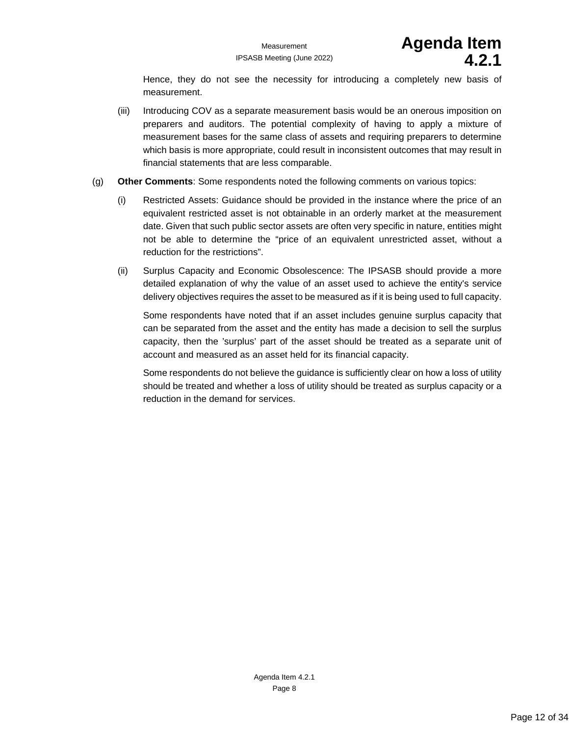Hence, they do not see the necessity for introducing a completely new basis of measurement.

- (iii) Introducing COV as a separate measurement basis would be an onerous imposition on preparers and auditors. The potential complexity of having to apply a mixture of measurement bases for the same class of assets and requiring preparers to determine which basis is more appropriate, could result in inconsistent outcomes that may result in financial statements that are less comparable.
- (g) **Other Comments**: Some respondents noted the following comments on various topics:
	- (i) Restricted Assets: Guidance should be provided in the instance where the price of an equivalent restricted asset is not obtainable in an orderly market at the measurement date. Given that such public sector assets are often very specific in nature, entities might not be able to determine the "price of an equivalent unrestricted asset, without a reduction for the restrictions".
	- (ii) Surplus Capacity and Economic Obsolescence: The IPSASB should provide a more detailed explanation of why the value of an asset used to achieve the entity's service delivery objectives requires the asset to be measured as if it is being used to full capacity.

Some respondents have noted that if an asset includes genuine surplus capacity that can be separated from the asset and the entity has made a decision to sell the surplus capacity, then the 'surplus' part of the asset should be treated as a separate unit of account and measured as an asset held for its financial capacity.

Some respondents do not believe the guidance is sufficiently clear on how a loss of utility should be treated and whether a loss of utility should be treated as surplus capacity or a reduction in the demand for services.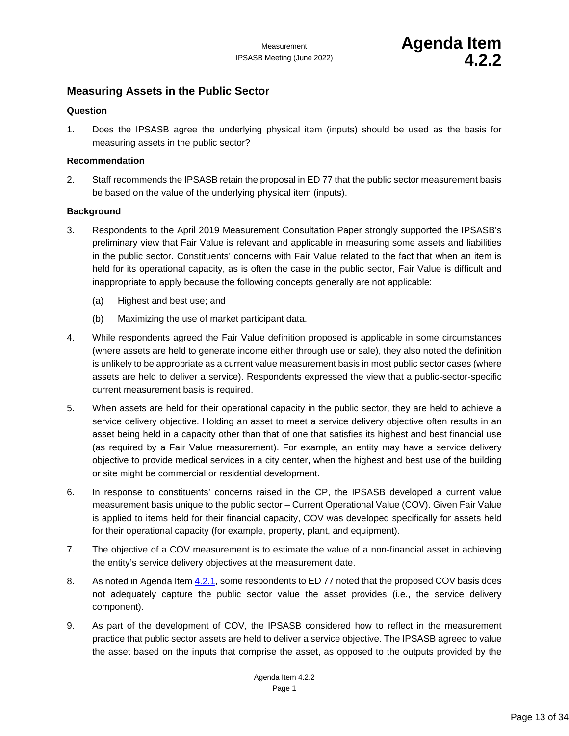### <span id="page-12-1"></span><span id="page-12-0"></span>**Measuring Assets in the Public Sector**

### **Question**

1. Does the IPSASB agree the underlying physical item (inputs) should be used as the basis for measuring assets in the public sector?

### **Recommendation**

2. Staff recommends the IPSASB retain the proposal in ED 77 that the public sector measurement basis be based on the value of the underlying physical item (inputs).

### **Background**

- 3. Respondents to the April 2019 Measurement Consultation Paper strongly supported the IPSASB's preliminary view that Fair Value is relevant and applicable in measuring some assets and liabilities in the public sector. Constituents' concerns with Fair Value related to the fact that when an item is held for its operational capacity, as is often the case in the public sector, Fair Value is difficult and inappropriate to apply because the following concepts generally are not applicable:
	- (a) Highest and best use; and
	- (b) Maximizing the use of market participant data.
- 4. While respondents agreed the Fair Value definition proposed is applicable in some circumstances (where assets are held to generate income either through use or sale), they also noted the definition is unlikely to be appropriate as a current value measurement basis in most public sector cases (where assets are held to deliver a service). Respondents expressed the view that a public-sector-specific current measurement basis is required.
- 5. When assets are held for their operational capacity in the public sector, they are held to achieve a service delivery objective. Holding an asset to meet a service delivery objective often results in an asset being held in a capacity other than that of one that satisfies its highest and best financial use (as required by a Fair Value measurement). For example, an entity may have a service delivery objective to provide medical services in a city center, when the highest and best use of the building or site might be commercial or residential development.
- 6. In response to constituents' concerns raised in the CP, the IPSASB developed a current value measurement basis unique to the public sector – Current Operational Value (COV). Given Fair Value is applied to items held for their financial capacity, COV was developed specifically for assets held for their operational capacity (for example, property, plant, and equipment).
- 7. The objective of a COV measurement is to estimate the value of a non-financial asset in achieving the entity's service delivery objectives at the measurement date.
- 8. As noted in Agenda Ite[m 4.2.1,](#page-4-1) some respondents to ED 77 noted that the proposed COV basis does not adequately capture the public sector value the asset provides (i.e., the service delivery component).
- 9. As part of the development of COV, the IPSASB considered how to reflect in the measurement practice that public sector assets are held to deliver a service objective. The IPSASB agreed to value the asset based on the inputs that comprise the asset, as opposed to the outputs provided by the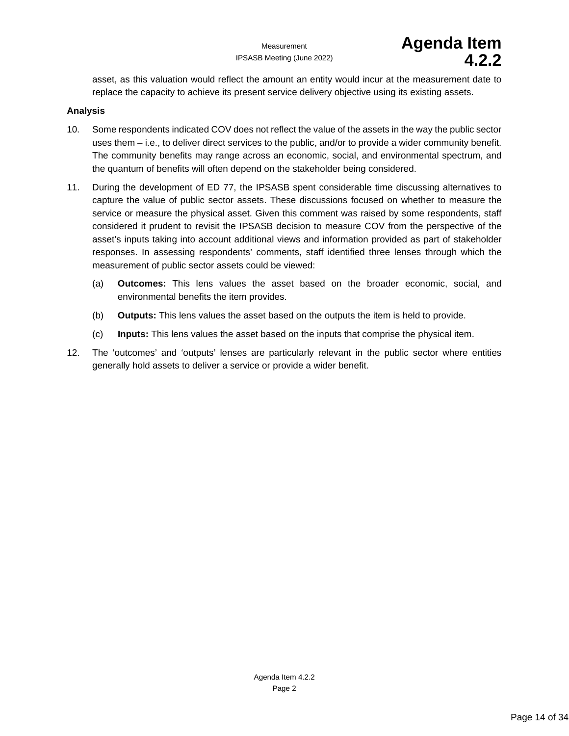asset, as this valuation would reflect the amount an entity would incur at the measurement date to replace the capacity to achieve its present service delivery objective using its existing assets.

### **Analysis**

- 10. Some respondents indicated COV does not reflect the value of the assets in the way the public sector uses them – i.e., to deliver direct services to the public, and/or to provide a wider community benefit. The community benefits may range across an economic, social, and environmental spectrum, and the quantum of benefits will often depend on the stakeholder being considered.
- 11. During the development of ED 77, the IPSASB spent considerable time discussing alternatives to capture the value of public sector assets. These discussions focused on whether to measure the service or measure the physical asset. Given this comment was raised by some respondents, staff considered it prudent to revisit the IPSASB decision to measure COV from the perspective of the asset's inputs taking into account additional views and information provided as part of stakeholder responses. In assessing respondents' comments, staff identified three lenses through which the measurement of public sector assets could be viewed:
	- (a) **Outcomes:** This lens values the asset based on the broader economic, social, and environmental benefits the item provides.
	- (b) **Outputs:** This lens values the asset based on the outputs the item is held to provide.
	- (c) **Inputs:** This lens values the asset based on the inputs that comprise the physical item.
- 12. The 'outcomes' and 'outputs' lenses are particularly relevant in the public sector where entities generally hold assets to deliver a service or provide a wider benefit.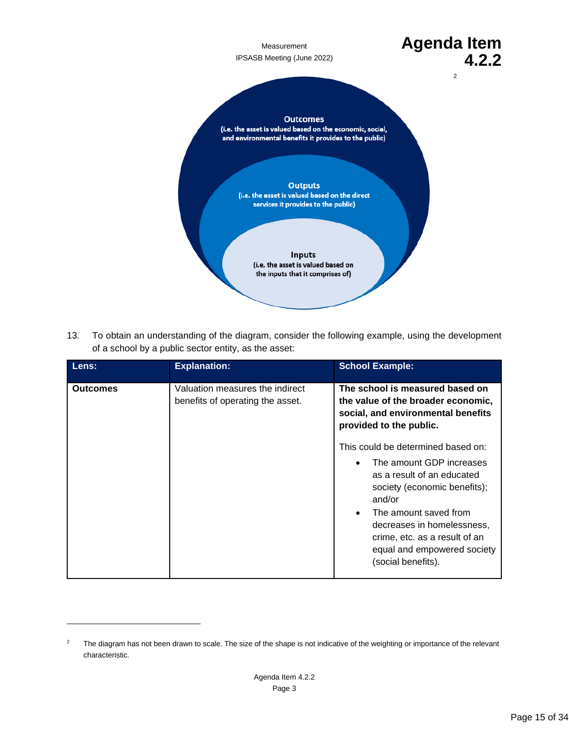[2](#page-14-0)

## Measurement **Agenda Item**<br><sup>3 Meeting (June 2022) **Agenda 4.2.2**</sup> IPSASB Meeting (June 2022) **4.2.2**

#### **Outcomes**

(i.e. the asset is valued based on the economic, social, and environmental benefits it provides to the public)

> **Outputs** (i.e. the asset is valued based on the direct services it provides to the public)

> > Inputs (i.e. the asset is valued based on the inputs that it comprises of)

13. To obtain an understanding of the diagram, consider the following example, using the development of a school by a public sector entity, as the asset:

| Lens:           | <b>Explanation:</b>                                                 | <b>School Example:</b>                                                                                                                                                                                                                                                           |
|-----------------|---------------------------------------------------------------------|----------------------------------------------------------------------------------------------------------------------------------------------------------------------------------------------------------------------------------------------------------------------------------|
| <b>Outcomes</b> | Valuation measures the indirect<br>benefits of operating the asset. | The school is measured based on<br>the value of the broader economic.<br>social, and environmental benefits<br>provided to the public.<br>This could be determined based on:<br>The amount GDP increases<br>as a result of an educated<br>society (economic benefits);<br>and/or |
|                 |                                                                     | The amount saved from<br>$\bullet$<br>decreases in homelessness.<br>crime, etc. as a result of an<br>equal and empowered society<br>(social benefits).                                                                                                                           |

<span id="page-14-0"></span><sup>&</sup>lt;sup>2</sup> The diagram has not been drawn to scale. The size of the shape is not indicative of the weighting or importance of the relevant characteristic.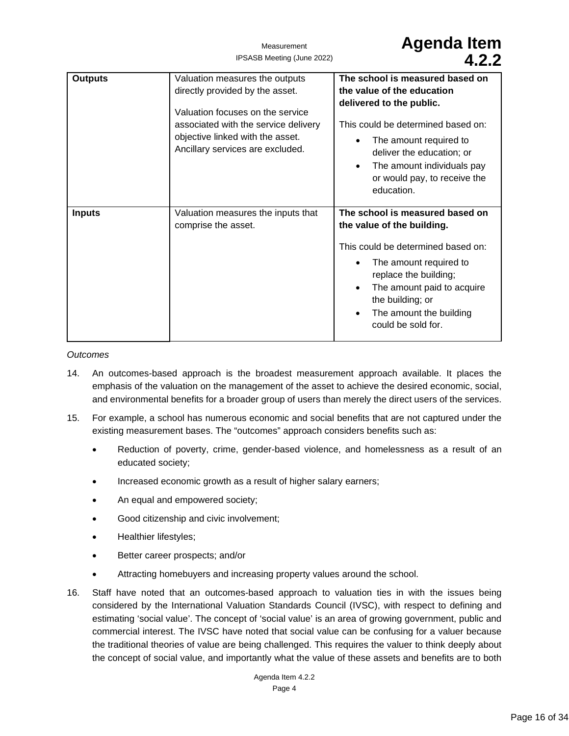| <b>Outputs</b> | Valuation measures the outputs<br>directly provided by the asset.<br>Valuation focuses on the service<br>associated with the service delivery<br>objective linked with the asset.<br>Ancillary services are excluded. | The school is measured based on<br>the value of the education<br>delivered to the public.<br>This could be determined based on:<br>The amount required to<br>$\bullet$<br>deliver the education; or<br>The amount individuals pay<br>$\bullet$<br>or would pay, to receive the<br>education. |
|----------------|-----------------------------------------------------------------------------------------------------------------------------------------------------------------------------------------------------------------------|----------------------------------------------------------------------------------------------------------------------------------------------------------------------------------------------------------------------------------------------------------------------------------------------|
| <b>Inputs</b>  | Valuation measures the inputs that<br>comprise the asset.                                                                                                                                                             | The school is measured based on<br>the value of the building.<br>This could be determined based on:<br>The amount required to<br>replace the building;<br>The amount paid to acquire<br>$\bullet$<br>the building; or<br>The amount the building<br>$\bullet$<br>could be sold for.          |

### *Outcomes*

- 14. An outcomes-based approach is the broadest measurement approach available. It places the emphasis of the valuation on the management of the asset to achieve the desired economic, social, and environmental benefits for a broader group of users than merely the direct users of the services.
- 15. For example, a school has numerous economic and social benefits that are not captured under the existing measurement bases. The "outcomes" approach considers benefits such as:
	- Reduction of poverty, crime, gender-based violence, and homelessness as a result of an educated society;
	- Increased economic growth as a result of higher salary earners;
	- An equal and empowered society;
	- Good citizenship and civic involvement;
	- Healthier lifestyles;
	- Better career prospects; and/or
	- Attracting homebuyers and increasing property values around the school.
- 16. Staff have noted that an outcomes-based approach to valuation ties in with the issues being considered by the International Valuation Standards Council (IVSC), with respect to defining and estimating 'social value'. The concept of 'social value' is an area of growing government, public and commercial interest. The IVSC have noted that social value can be confusing for a valuer because the traditional theories of value are being challenged. This requires the valuer to think deeply about the concept of social value, and importantly what the value of these assets and benefits are to both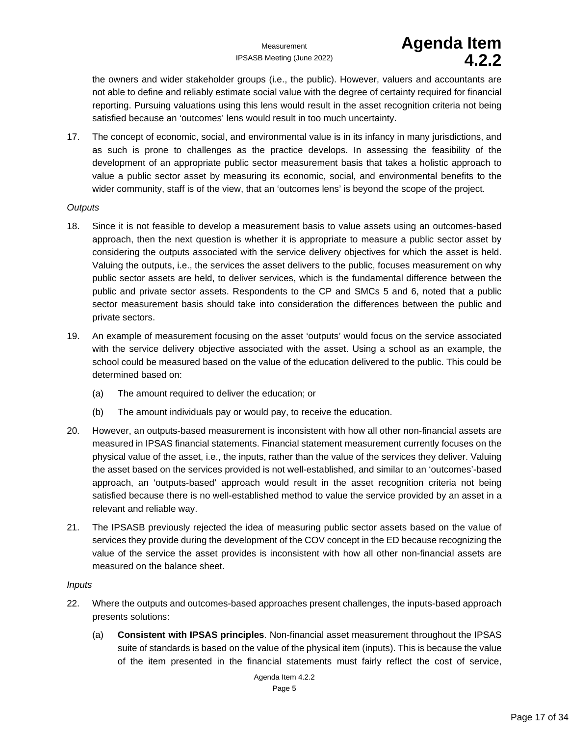## Measurement **Agenda Item d** 2 2

the owners and wider stakeholder groups (i.e., the public). However, valuers and accountants are not able to define and reliably estimate social value with the degree of certainty required for financial reporting. Pursuing valuations using this lens would result in the asset recognition criteria not being satisfied because an 'outcomes' lens would result in too much uncertainty.

17. The concept of economic, social, and environmental value is in its infancy in many jurisdictions, and as such is prone to challenges as the practice develops. In assessing the feasibility of the development of an appropriate public sector measurement basis that takes a holistic approach to value a public sector asset by measuring its economic, social, and environmental benefits to the wider community, staff is of the view, that an 'outcomes lens' is beyond the scope of the project.

### *Outputs*

- 18. Since it is not feasible to develop a measurement basis to value assets using an outcomes-based approach, then the next question is whether it is appropriate to measure a public sector asset by considering the outputs associated with the service delivery objectives for which the asset is held. Valuing the outputs, i.e., the services the asset delivers to the public, focuses measurement on why public sector assets are held, to deliver services, which is the fundamental difference between the public and private sector assets. Respondents to the CP and SMCs 5 and 6, noted that a public sector measurement basis should take into consideration the differences between the public and private sectors.
- 19. An example of measurement focusing on the asset 'outputs' would focus on the service associated with the service delivery objective associated with the asset. Using a school as an example, the school could be measured based on the value of the education delivered to the public. This could be determined based on:
	- (a) The amount required to deliver the education; or
	- (b) The amount individuals pay or would pay, to receive the education.
- 20. However, an outputs-based measurement is inconsistent with how all other non-financial assets are measured in IPSAS financial statements. Financial statement measurement currently focuses on the physical value of the asset, i.e., the inputs, rather than the value of the services they deliver. Valuing the asset based on the services provided is not well-established, and similar to an 'outcomes'-based approach, an 'outputs-based' approach would result in the asset recognition criteria not being satisfied because there is no well-established method to value the service provided by an asset in a relevant and reliable way.
- 21. The IPSASB previously rejected the idea of measuring public sector assets based on the value of services they provide during the development of the COV concept in the ED because recognizing the value of the service the asset provides is inconsistent with how all other non-financial assets are measured on the balance sheet.

### *Inputs*

- 22. Where the outputs and outcomes-based approaches present challenges, the inputs-based approach presents solutions:
	- (a) **Consistent with IPSAS principles**. Non-financial asset measurement throughout the IPSAS suite of standards is based on the value of the physical item (inputs). This is because the value of the item presented in the financial statements must fairly reflect the cost of service,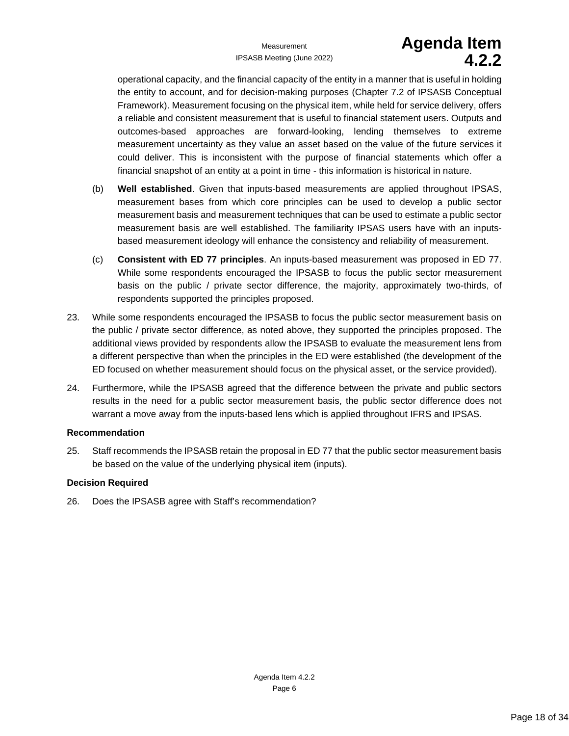# Measurement **Agenda Item**<br><sup>8</sup> Meeting (June 2022) **Agenda 12 2**

operational capacity, and the financial capacity of the entity in a manner that is useful in holding the entity to account, and for decision-making purposes (Chapter 7.2 of IPSASB Conceptual Framework). Measurement focusing on the physical item, while held for service delivery, offers a reliable and consistent measurement that is useful to financial statement users. Outputs and outcomes-based approaches are forward-looking, lending themselves to extreme measurement uncertainty as they value an asset based on the value of the future services it could deliver. This is inconsistent with the purpose of financial statements which offer a financial snapshot of an entity at a point in time - this information is historical in nature.

- (b) **Well established**. Given that inputs-based measurements are applied throughout IPSAS, measurement bases from which core principles can be used to develop a public sector measurement basis and measurement techniques that can be used to estimate a public sector measurement basis are well established. The familiarity IPSAS users have with an inputsbased measurement ideology will enhance the consistency and reliability of measurement.
- (c) **Consistent with ED 77 principles**. An inputs-based measurement was proposed in ED 77. While some respondents encouraged the IPSASB to focus the public sector measurement basis on the public / private sector difference, the majority, approximately two-thirds, of respondents supported the principles proposed.
- 23. While some respondents encouraged the IPSASB to focus the public sector measurement basis on the public / private sector difference, as noted above, they supported the principles proposed. The additional views provided by respondents allow the IPSASB to evaluate the measurement lens from a different perspective than when the principles in the ED were established (the development of the ED focused on whether measurement should focus on the physical asset, or the service provided).
- 24. Furthermore, while the IPSASB agreed that the difference between the private and public sectors results in the need for a public sector measurement basis, the public sector difference does not warrant a move away from the inputs-based lens which is applied throughout IFRS and IPSAS.

### **Recommendation**

25. Staff recommends the IPSASB retain the proposal in ED 77 that the public sector measurement basis be based on the value of the underlying physical item (inputs).

### **Decision Required**

26. Does the IPSASB agree with Staff's recommendation?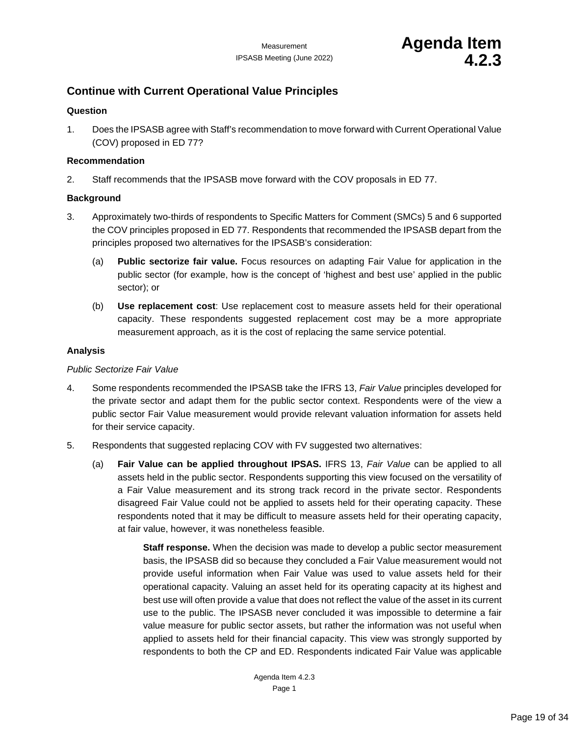### <span id="page-18-1"></span><span id="page-18-0"></span>**Continue with Current Operational Value Principles**

### **Question**

1. Does the IPSASB agree with Staff's recommendation to move forward with Current Operational Value (COV) proposed in ED 77?

### **Recommendation**

2. Staff recommends that the IPSASB move forward with the COV proposals in ED 77.

### **Background**

- 3. Approximately two-thirds of respondents to Specific Matters for Comment (SMCs) 5 and 6 supported the COV principles proposed in ED 77. Respondents that recommended the IPSASB depart from the principles proposed two alternatives for the IPSASB's consideration:
	- (a) **Public sectorize fair value.** Focus resources on adapting Fair Value for application in the public sector (for example, how is the concept of 'highest and best use' applied in the public sector); or
	- (b) **Use replacement cost**: Use replacement cost to measure assets held for their operational capacity. These respondents suggested replacement cost may be a more appropriate measurement approach, as it is the cost of replacing the same service potential.

### **Analysis**

#### *Public Sectorize Fair Value*

- 4. Some respondents recommended the IPSASB take the IFRS 13, *Fair Value* principles developed for the private sector and adapt them for the public sector context. Respondents were of the view a public sector Fair Value measurement would provide relevant valuation information for assets held for their service capacity.
- 5. Respondents that suggested replacing COV with FV suggested two alternatives:
	- (a) **Fair Value can be applied throughout IPSAS.** IFRS 13, *Fair Value* can be applied to all assets held in the public sector. Respondents supporting this view focused on the versatility of a Fair Value measurement and its strong track record in the private sector. Respondents disagreed Fair Value could not be applied to assets held for their operating capacity. These respondents noted that it may be difficult to measure assets held for their operating capacity, at fair value, however, it was nonetheless feasible.

**Staff response.** When the decision was made to develop a public sector measurement basis, the IPSASB did so because they concluded a Fair Value measurement would not provide useful information when Fair Value was used to value assets held for their operational capacity. Valuing an asset held for its operating capacity at its highest and best use will often provide a value that does not reflect the value of the asset in its current use to the public. The IPSASB never concluded it was impossible to determine a fair value measure for public sector assets, but rather the information was not useful when applied to assets held for their financial capacity. This view was strongly supported by respondents to both the CP and ED. Respondents indicated Fair Value was applicable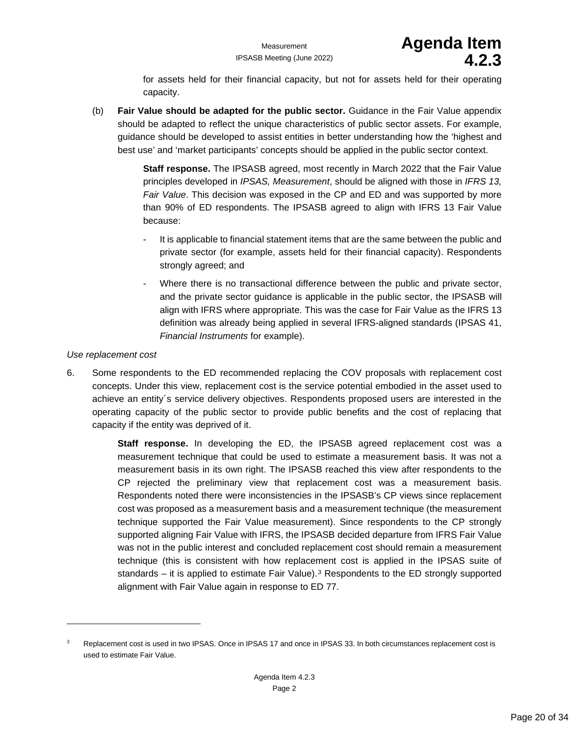for assets held for their financial capacity, but not for assets held for their operating capacity.

(b) **Fair Value should be adapted for the public sector.** Guidance in the Fair Value appendix should be adapted to reflect the unique characteristics of public sector assets. For example, guidance should be developed to assist entities in better understanding how the 'highest and best use' and 'market participants' concepts should be applied in the public sector context.

> **Staff response.** The IPSASB agreed, most recently in March 2022 that the Fair Value principles developed in *IPSAS, Measurement*, should be aligned with those in *IFRS 13, Fair Value*. This decision was exposed in the CP and ED and was supported by more than 90% of ED respondents. The IPSASB agreed to align with IFRS 13 Fair Value because:

- It is applicable to financial statement items that are the same between the public and private sector (for example, assets held for their financial capacity). Respondents strongly agreed; and
- Where there is no transactional difference between the public and private sector, and the private sector guidance is applicable in the public sector, the IPSASB will align with IFRS where appropriate. This was the case for Fair Value as the IFRS 13 definition was already being applied in several IFRS-aligned standards (IPSAS 41, *Financial Instruments* for example).

### *Use replacement cost*

6. Some respondents to the ED recommended replacing the COV proposals with replacement cost concepts. Under this view, replacement cost is the service potential embodied in the asset used to achieve an entity´s service delivery objectives. Respondents proposed users are interested in the operating capacity of the public sector to provide public benefits and the cost of replacing that capacity if the entity was deprived of it.

> **Staff response.** In developing the ED, the IPSASB agreed replacement cost was a measurement technique that could be used to estimate a measurement basis. It was not a measurement basis in its own right. The IPSASB reached this view after respondents to the CP rejected the preliminary view that replacement cost was a measurement basis. Respondents noted there were inconsistencies in the IPSASB's CP views since replacement cost was proposed as a measurement basis and a measurement technique (the measurement technique supported the Fair Value measurement). Since respondents to the CP strongly supported aligning Fair Value with IFRS, the IPSASB decided departure from IFRS Fair Value was not in the public interest and concluded replacement cost should remain a measurement technique (this is consistent with how replacement cost is applied in the IPSAS suite of standards – it is applied to estimate Fair Value).<sup>[3](#page-19-0)</sup> Respondents to the ED strongly supported alignment with Fair Value again in response to ED 77.

<span id="page-19-0"></span><sup>&</sup>lt;sup>3</sup> Replacement cost is used in two IPSAS. Once in IPSAS 17 and once in IPSAS 33. In both circumstances replacement cost is used to estimate Fair Value.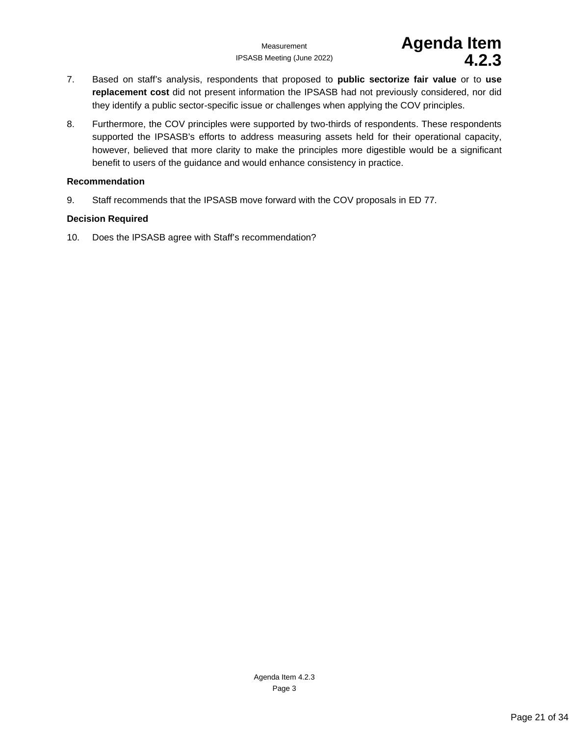IPSASB Meeting (June 2022) **4.2.3**

# Measurement **Agenda Item**<br><sup>3 Meeting (June 2022) **Agenda 4.2.3**</sup>

- 7. Based on staff's analysis, respondents that proposed to **public sectorize fair value** or to **use replacement cost** did not present information the IPSASB had not previously considered, nor did they identify a public sector-specific issue or challenges when applying the COV principles.
- 8. Furthermore, the COV principles were supported by two-thirds of respondents. These respondents supported the IPSASB's efforts to address measuring assets held for their operational capacity, however, believed that more clarity to make the principles more digestible would be a significant benefit to users of the guidance and would enhance consistency in practice.

### **Recommendation**

9. Staff recommends that the IPSASB move forward with the COV proposals in ED 77.

### **Decision Required**

10. Does the IPSASB agree with Staff's recommendation?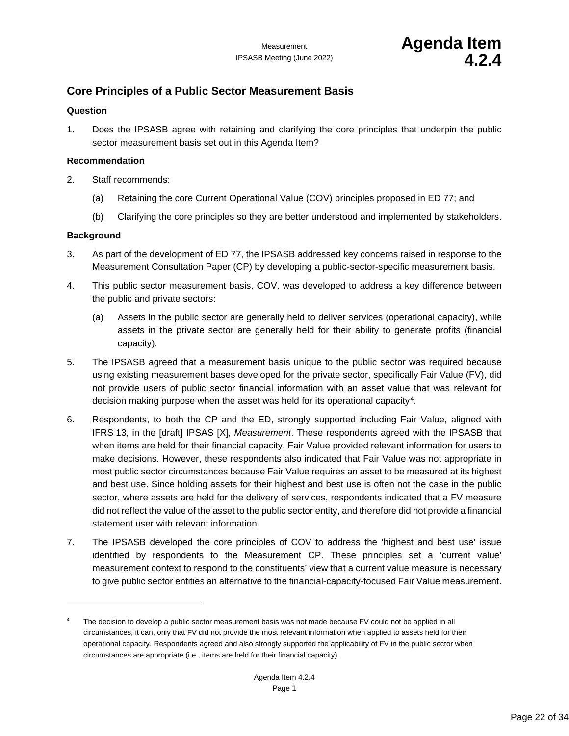### <span id="page-21-1"></span><span id="page-21-0"></span>**Core Principles of a Public Sector Measurement Basis**

### **Question**

1. Does the IPSASB agree with retaining and clarifying the core principles that underpin the public sector measurement basis set out in this Agenda Item?

### **Recommendation**

- 2. Staff recommends:
	- (a) Retaining the core Current Operational Value (COV) principles proposed in ED 77; and
	- (b) Clarifying the core principles so they are better understood and implemented by stakeholders.

### **Background**

- 3. As part of the development of ED 77, the IPSASB addressed key concerns raised in response to the Measurement Consultation Paper (CP) by developing a public-sector-specific measurement basis.
- 4. This public sector measurement basis, COV, was developed to address a key difference between the public and private sectors:
	- (a) Assets in the public sector are generally held to deliver services (operational capacity), while assets in the private sector are generally held for their ability to generate profits (financial capacity).
- 5. The IPSASB agreed that a measurement basis unique to the public sector was required because using existing measurement bases developed for the private sector, specifically Fair Value (FV), did not provide users of public sector financial information with an asset value that was relevant for decision making purpose when the asset was held for its operational capacity[4](#page-21-2).
- 6. Respondents, to both the CP and the ED, strongly supported including Fair Value, aligned with IFRS 13, in the [draft] IPSAS [X], *Measurement*. These respondents agreed with the IPSASB that when items are held for their financial capacity, Fair Value provided relevant information for users to make decisions. However, these respondents also indicated that Fair Value was not appropriate in most public sector circumstances because Fair Value requires an asset to be measured at its highest and best use. Since holding assets for their highest and best use is often not the case in the public sector, where assets are held for the delivery of services, respondents indicated that a FV measure did not reflect the value of the asset to the public sector entity, and therefore did not provide a financial statement user with relevant information.
- 7. The IPSASB developed the core principles of COV to address the 'highest and best use' issue identified by respondents to the Measurement CP. These principles set a 'current value' measurement context to respond to the constituents' view that a current value measure is necessary to give public sector entities an alternative to the financial-capacity-focused Fair Value measurement.

<span id="page-21-2"></span><sup>&</sup>lt;sup>4</sup> The decision to develop a public sector measurement basis was not made because FV could not be applied in all circumstances, it can, only that FV did not provide the most relevant information when applied to assets held for their operational capacity. Respondents agreed and also strongly supported the applicability of FV in the public sector when circumstances are appropriate (i.e., items are held for their financial capacity).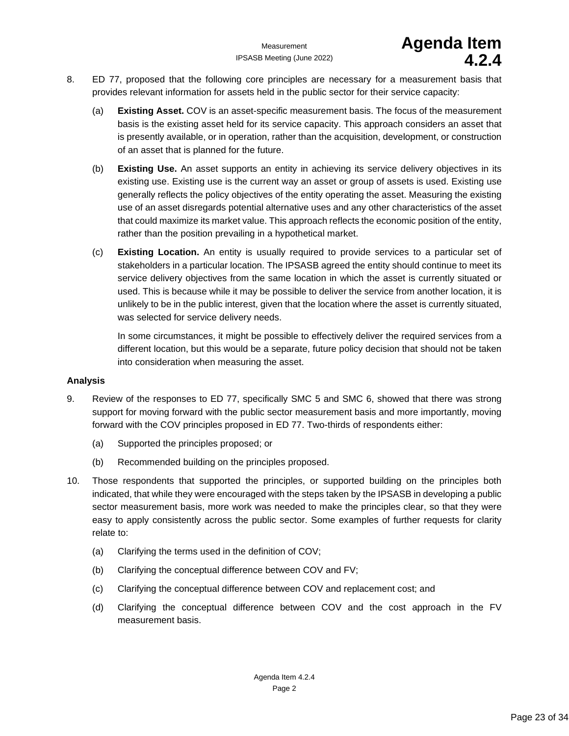- 8. ED 77, proposed that the following core principles are necessary for a measurement basis that provides relevant information for assets held in the public sector for their service capacity:
	- (a) **Existing Asset.** COV is an asset-specific measurement basis. The focus of the measurement basis is the existing asset held for its service capacity. This approach considers an asset that is presently available, or in operation, rather than the acquisition, development, or construction of an asset that is planned for the future.
	- (b) **Existing Use.** An asset supports an entity in achieving its service delivery objectives in its existing use. Existing use is the current way an asset or group of assets is used. Existing use generally reflects the policy objectives of the entity operating the asset. Measuring the existing use of an asset disregards potential alternative uses and any other characteristics of the asset that could maximize its market value. This approach reflects the economic position of the entity, rather than the position prevailing in a hypothetical market.
	- (c) **Existing Location.** An entity is usually required to provide services to a particular set of stakeholders in a particular location. The IPSASB agreed the entity should continue to meet its service delivery objectives from the same location in which the asset is currently situated or used. This is because while it may be possible to deliver the service from another location, it is unlikely to be in the public interest, given that the location where the asset is currently situated, was selected for service delivery needs.

In some circumstances, it might be possible to effectively deliver the required services from a different location, but this would be a separate, future policy decision that should not be taken into consideration when measuring the asset.

### **Analysis**

- 9. Review of the responses to ED 77, specifically SMC 5 and SMC 6, showed that there was strong support for moving forward with the public sector measurement basis and more importantly, moving forward with the COV principles proposed in ED 77. Two-thirds of respondents either:
	- (a) Supported the principles proposed; or
	- (b) Recommended building on the principles proposed.
- 10. Those respondents that supported the principles, or supported building on the principles both indicated, that while they were encouraged with the steps taken by the IPSASB in developing a public sector measurement basis, more work was needed to make the principles clear, so that they were easy to apply consistently across the public sector. Some examples of further requests for clarity relate to:
	- (a) Clarifying the terms used in the definition of COV;
	- (b) Clarifying the conceptual difference between COV and FV;
	- (c) Clarifying the conceptual difference between COV and replacement cost; and
	- (d) Clarifying the conceptual difference between COV and the cost approach in the FV measurement basis.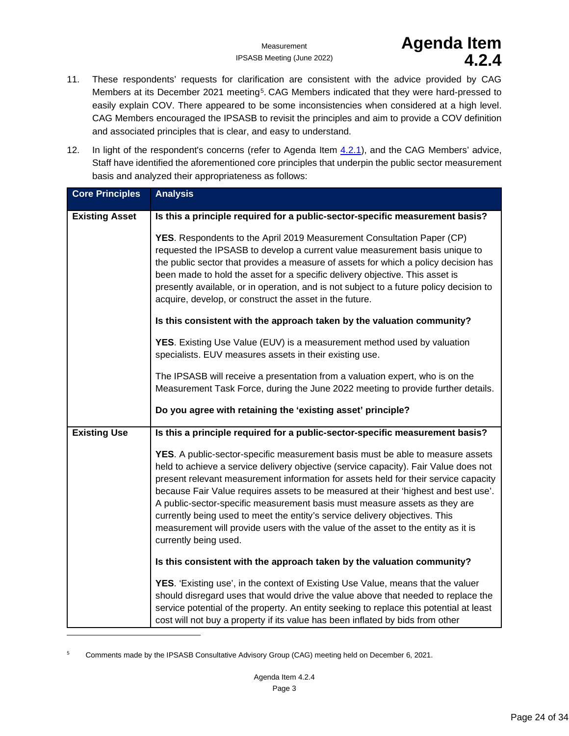## Measurement **Agenda Item**<br><sup>3 Meeting (June 2022)<br>**4.2.4**</sup>

- 11. These respondents' requests for clarification are consistent with the advice provided by CAG Members at its December 2021 meeting<sup>[5](#page-23-0)</sup>. CAG Members indicated that they were hard-pressed to easily explain COV. There appeared to be some inconsistencies when considered at a high level. CAG Members encouraged the IPSASB to revisit the principles and aim to provide a COV definition and associated principles that is clear, and easy to understand.
- 12. In light of the respondent's concerns (refer to Agenda Item [4.2.1\)](#page-4-1), and the CAG Members' advice, Staff have identified the aforementioned core principles that underpin the public sector measurement basis and analyzed their appropriateness as follows:

| <b>Core Principles</b> | <b>Analysis</b>                                                                                                                                                                                                                                                                                                                                                                                                                                                                                                                                                                                                                       |
|------------------------|---------------------------------------------------------------------------------------------------------------------------------------------------------------------------------------------------------------------------------------------------------------------------------------------------------------------------------------------------------------------------------------------------------------------------------------------------------------------------------------------------------------------------------------------------------------------------------------------------------------------------------------|
| <b>Existing Asset</b>  | Is this a principle required for a public-sector-specific measurement basis?                                                                                                                                                                                                                                                                                                                                                                                                                                                                                                                                                          |
|                        | YES. Respondents to the April 2019 Measurement Consultation Paper (CP)<br>requested the IPSASB to develop a current value measurement basis unique to<br>the public sector that provides a measure of assets for which a policy decision has<br>been made to hold the asset for a specific delivery objective. This asset is<br>presently available, or in operation, and is not subject to a future policy decision to<br>acquire, develop, or construct the asset in the future.                                                                                                                                                    |
|                        | Is this consistent with the approach taken by the valuation community?                                                                                                                                                                                                                                                                                                                                                                                                                                                                                                                                                                |
|                        | <b>YES.</b> Existing Use Value (EUV) is a measurement method used by valuation<br>specialists. EUV measures assets in their existing use.                                                                                                                                                                                                                                                                                                                                                                                                                                                                                             |
|                        | The IPSASB will receive a presentation from a valuation expert, who is on the<br>Measurement Task Force, during the June 2022 meeting to provide further details.                                                                                                                                                                                                                                                                                                                                                                                                                                                                     |
|                        | Do you agree with retaining the 'existing asset' principle?                                                                                                                                                                                                                                                                                                                                                                                                                                                                                                                                                                           |
| <b>Existing Use</b>    | Is this a principle required for a public-sector-specific measurement basis?                                                                                                                                                                                                                                                                                                                                                                                                                                                                                                                                                          |
|                        | <b>YES.</b> A public-sector-specific measurement basis must be able to measure assets<br>held to achieve a service delivery objective (service capacity). Fair Value does not<br>present relevant measurement information for assets held for their service capacity<br>because Fair Value requires assets to be measured at their 'highest and best use'.<br>A public-sector-specific measurement basis must measure assets as they are<br>currently being used to meet the entity's service delivery objectives. This<br>measurement will provide users with the value of the asset to the entity as it is<br>currently being used. |
|                        | Is this consistent with the approach taken by the valuation community?                                                                                                                                                                                                                                                                                                                                                                                                                                                                                                                                                                |
|                        | <b>YES.</b> 'Existing use', in the context of Existing Use Value, means that the valuer<br>should disregard uses that would drive the value above that needed to replace the<br>service potential of the property. An entity seeking to replace this potential at least<br>cost will not buy a property if its value has been inflated by bids from other                                                                                                                                                                                                                                                                             |

<span id="page-23-0"></span><sup>5</sup> Comments made by the IPSASB Consultative Advisory Group (CAG) meeting held on December 6, 2021.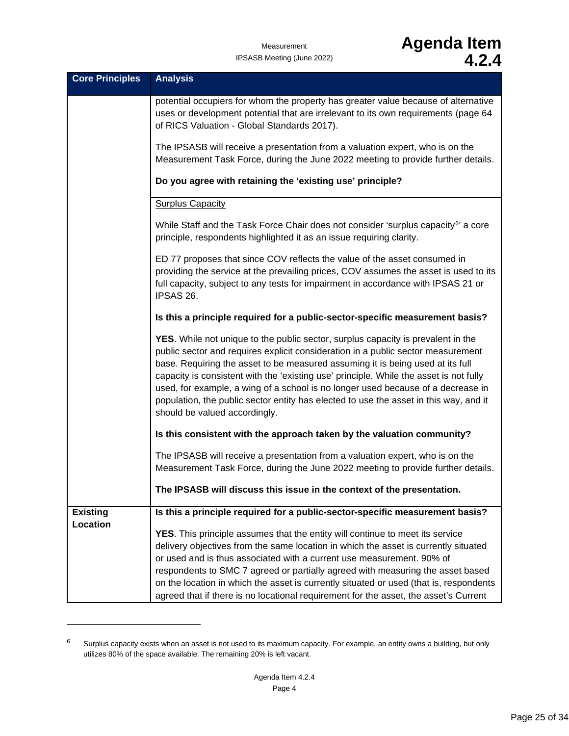## Measurement **Agenda Item** IPSASB Meeting (June 2022) **4.2.4**

| <b>Core Principles</b>      | <b>Analysis</b>                                                                                                                                                                                                                                                                                                                                                                                                                                                                                                                                                |
|-----------------------------|----------------------------------------------------------------------------------------------------------------------------------------------------------------------------------------------------------------------------------------------------------------------------------------------------------------------------------------------------------------------------------------------------------------------------------------------------------------------------------------------------------------------------------------------------------------|
|                             | potential occupiers for whom the property has greater value because of alternative<br>uses or development potential that are irrelevant to its own requirements (page 64<br>of RICS Valuation - Global Standards 2017).                                                                                                                                                                                                                                                                                                                                        |
|                             | The IPSASB will receive a presentation from a valuation expert, who is on the<br>Measurement Task Force, during the June 2022 meeting to provide further details.                                                                                                                                                                                                                                                                                                                                                                                              |
|                             | Do you agree with retaining the 'existing use' principle?                                                                                                                                                                                                                                                                                                                                                                                                                                                                                                      |
|                             | <b>Surplus Capacity</b>                                                                                                                                                                                                                                                                                                                                                                                                                                                                                                                                        |
|                             | While Staff and the Task Force Chair does not consider 'surplus capacity <sup>6</sup> ' a core<br>principle, respondents highlighted it as an issue requiring clarity.                                                                                                                                                                                                                                                                                                                                                                                         |
|                             | ED 77 proposes that since COV reflects the value of the asset consumed in<br>providing the service at the prevailing prices, COV assumes the asset is used to its<br>full capacity, subject to any tests for impairment in accordance with IPSAS 21 or<br>IPSAS 26.                                                                                                                                                                                                                                                                                            |
|                             | Is this a principle required for a public-sector-specific measurement basis?                                                                                                                                                                                                                                                                                                                                                                                                                                                                                   |
|                             | YES. While not unique to the public sector, surplus capacity is prevalent in the<br>public sector and requires explicit consideration in a public sector measurement<br>base. Requiring the asset to be measured assuming it is being used at its full<br>capacity is consistent with the 'existing use' principle. While the asset is not fully<br>used, for example, a wing of a school is no longer used because of a decrease in<br>population, the public sector entity has elected to use the asset in this way, and it<br>should be valued accordingly. |
|                             | Is this consistent with the approach taken by the valuation community?                                                                                                                                                                                                                                                                                                                                                                                                                                                                                         |
|                             | The IPSASB will receive a presentation from a valuation expert, who is on the<br>Measurement Task Force, during the June 2022 meeting to provide further details.                                                                                                                                                                                                                                                                                                                                                                                              |
|                             | The IPSASB will discuss this issue in the context of the presentation.                                                                                                                                                                                                                                                                                                                                                                                                                                                                                         |
| <b>Existing</b><br>Location | Is this a principle required for a public-sector-specific measurement basis?                                                                                                                                                                                                                                                                                                                                                                                                                                                                                   |
|                             | YES. This principle assumes that the entity will continue to meet its service<br>delivery objectives from the same location in which the asset is currently situated<br>or used and is thus associated with a current use measurement. 90% of<br>respondents to SMC 7 agreed or partially agreed with measuring the asset based<br>on the location in which the asset is currently situated or used (that is, respondents                                                                                                                                      |
|                             | agreed that if there is no locational requirement for the asset, the asset's Current                                                                                                                                                                                                                                                                                                                                                                                                                                                                           |

<span id="page-24-0"></span> $6$  Surplus capacity exists when an asset is not used to its maximum capacity. For example, an entity owns a building, but only utilizes 80% of the space available. The remaining 20% is left vacant.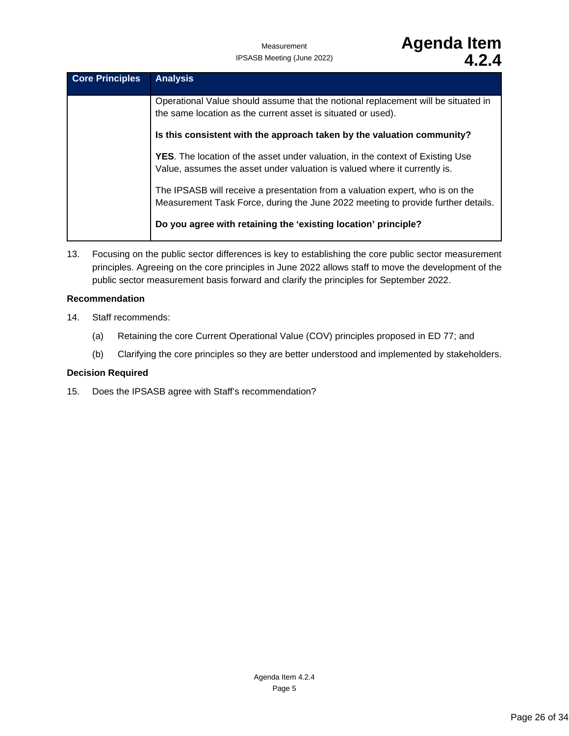| <b>Core Principles</b> | <b>Analysis</b>                                                                                                                                                    |
|------------------------|--------------------------------------------------------------------------------------------------------------------------------------------------------------------|
|                        | Operational Value should assume that the notional replacement will be situated in<br>the same location as the current asset is situated or used).                  |
|                        | Is this consistent with the approach taken by the valuation community?                                                                                             |
|                        | <b>YES.</b> The location of the asset under valuation, in the context of Existing Use<br>Value, assumes the asset under valuation is valued where it currently is. |
|                        | The IPSASB will receive a presentation from a valuation expert, who is on the<br>Measurement Task Force, during the June 2022 meeting to provide further details.  |
|                        | Do you agree with retaining the 'existing location' principle?                                                                                                     |

13. Focusing on the public sector differences is key to establishing the core public sector measurement principles. Agreeing on the core principles in June 2022 allows staff to move the development of the public sector measurement basis forward and clarify the principles for September 2022.

### **Recommendation**

- 14. Staff recommends:
	- (a) Retaining the core Current Operational Value (COV) principles proposed in ED 77; and
	- (b) Clarifying the core principles so they are better understood and implemented by stakeholders.

### **Decision Required**

15. Does the IPSASB agree with Staff's recommendation?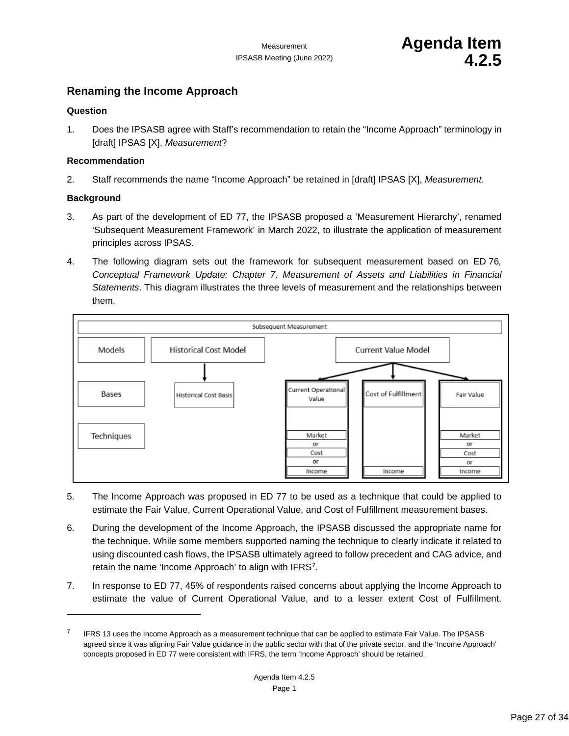### <span id="page-26-0"></span>**Renaming the Income Approach**

### **Question**

1. Does the IPSASB agree with Staff's recommendation to retain the "Income Approach" terminology in [draft] IPSAS [X], *Measurement*?

### **Recommendation**

2. Staff recommends the name "Income Approach" be retained in [draft] IPSAS [X], *Measurement.*

### **Background**

- 3. As part of the development of ED 77, the IPSASB proposed a 'Measurement Hierarchy', renamed 'Subsequent Measurement Framework' in March 2022, to illustrate the application of measurement principles across IPSAS.
- 4. The following diagram sets out the framework for subsequent measurement based on ED 76*, Conceptual Framework Update: Chapter 7, Measurement of Assets and Liabilities in Financial Statements*. This diagram illustrates the three levels of measurement and the relationships between them.



- 5. The Income Approach was proposed in ED 77 to be used as a technique that could be applied to estimate the Fair Value, Current Operational Value, and Cost of Fulfillment measurement bases.
- 6. During the development of the Income Approach, the IPSASB discussed the appropriate name for the technique. While some members supported naming the technique to clearly indicate it related to using discounted cash flows, the IPSASB ultimately agreed to follow precedent and CAG advice, and retain the name 'Income Approach' to align with IFRS[7.](#page-26-1)
- 7. In response to ED 77, 45% of respondents raised concerns about applying the Income Approach to estimate the value of Current Operational Value, and to a lesser extent Cost of Fulfillment.

<span id="page-26-1"></span>IFRS 13 uses the Income Approach as a measurement technique that can be applied to estimate Fair Value. The IPSASB agreed since it was aligning Fair Value guidance in the public sector with that of the private sector, and the 'Income Approach' concepts proposed in ED 77 were consistent with IFRS, the term 'Income Approach' should be retained.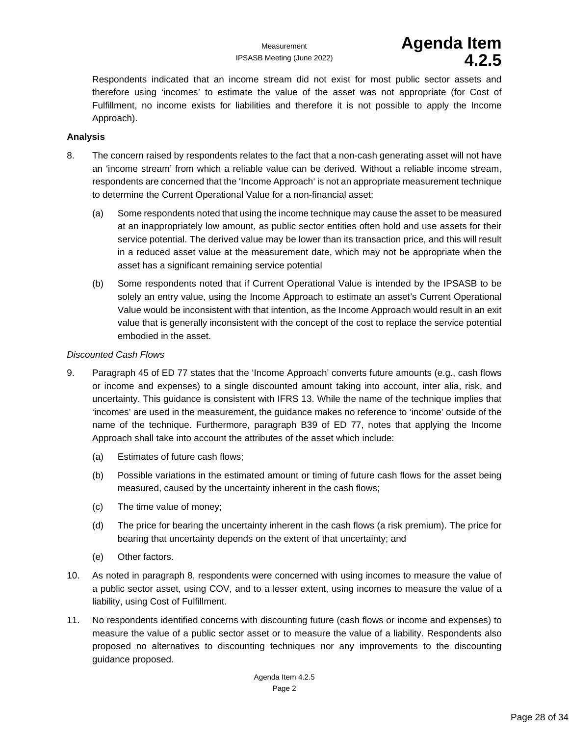Respondents indicated that an income stream did not exist for most public sector assets and therefore using 'incomes' to estimate the value of the asset was not appropriate (for Cost of Fulfillment, no income exists for liabilities and therefore it is not possible to apply the Income Approach).

### **Analysis**

- 8. The concern raised by respondents relates to the fact that a non-cash generating asset will not have an 'income stream' from which a reliable value can be derived. Without a reliable income stream, respondents are concerned that the 'Income Approach' is not an appropriate measurement technique to determine the Current Operational Value for a non-financial asset:
	- (a) Some respondents noted that using the income technique may cause the asset to be measured at an inappropriately low amount, as public sector entities often hold and use assets for their service potential. The derived value may be lower than its transaction price, and this will result in a reduced asset value at the measurement date, which may not be appropriate when the asset has a significant remaining service potential
	- (b) Some respondents noted that if Current Operational Value is intended by the IPSASB to be solely an entry value, using the Income Approach to estimate an asset's Current Operational Value would be inconsistent with that intention, as the Income Approach would result in an exit value that is generally inconsistent with the concept of the cost to replace the service potential embodied in the asset.

### *Discounted Cash Flows*

- 9. Paragraph 45 of ED 77 states that the 'Income Approach' converts future amounts (e.g., cash flows or income and expenses) to a single discounted amount taking into account, inter alia, risk, and uncertainty. This guidance is consistent with IFRS 13. While the name of the technique implies that 'incomes' are used in the measurement, the guidance makes no reference to 'income' outside of the name of the technique. Furthermore, paragraph B39 of ED 77, notes that applying the Income Approach shall take into account the attributes of the asset which include:
	- (a) Estimates of future cash flows;
	- (b) Possible variations in the estimated amount or timing of future cash flows for the asset being measured, caused by the uncertainty inherent in the cash flows;
	- (c) The time value of money;
	- (d) The price for bearing the uncertainty inherent in the cash flows (a risk premium). The price for bearing that uncertainty depends on the extent of that uncertainty; and
	- (e) Other factors.
- 10. As noted in paragraph 8, respondents were concerned with using incomes to measure the value of a public sector asset, using COV, and to a lesser extent, using incomes to measure the value of a liability, using Cost of Fulfillment.
- 11. No respondents identified concerns with discounting future (cash flows or income and expenses) to measure the value of a public sector asset or to measure the value of a liability. Respondents also proposed no alternatives to discounting techniques nor any improvements to the discounting guidance proposed.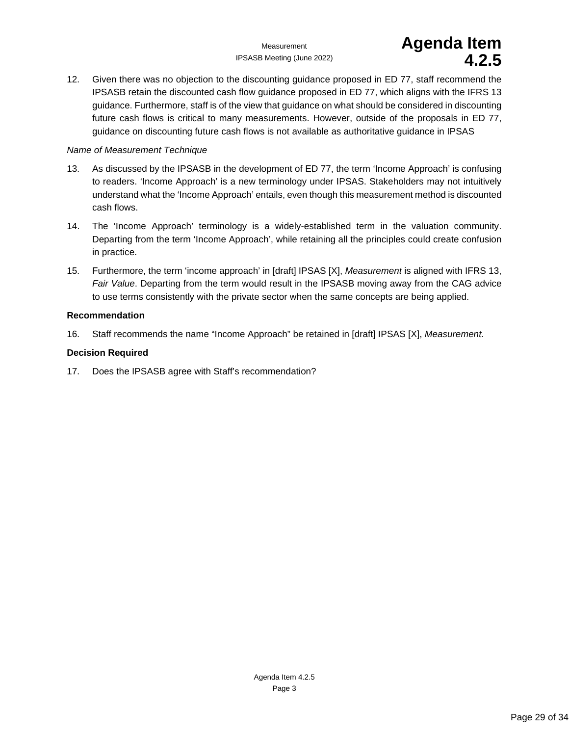IPSASB Meeting (June 2022) **4.2.5**

# Measurement **Agenda Item**<br>Meeting (June 2022)<br>**4.2.5**

12. Given there was no objection to the discounting guidance proposed in ED 77, staff recommend the IPSASB retain the discounted cash flow guidance proposed in ED 77, which aligns with the IFRS 13 guidance. Furthermore, staff is of the view that guidance on what should be considered in discounting future cash flows is critical to many measurements. However, outside of the proposals in ED 77, guidance on discounting future cash flows is not available as authoritative guidance in IPSAS

### *Name of Measurement Technique*

- 13. As discussed by the IPSASB in the development of ED 77, the term 'Income Approach' is confusing to readers. 'Income Approach' is a new terminology under IPSAS. Stakeholders may not intuitively understand what the 'Income Approach' entails, even though this measurement method is discounted cash flows.
- 14. The 'Income Approach' terminology is a widely-established term in the valuation community. Departing from the term 'Income Approach', while retaining all the principles could create confusion in practice.
- 15. Furthermore, the term 'income approach' in [draft] IPSAS [X], *Measurement* is aligned with IFRS 13, *Fair Value*. Departing from the term would result in the IPSASB moving away from the CAG advice to use terms consistently with the private sector when the same concepts are being applied.

### **Recommendation**

16. Staff recommends the name "Income Approach" be retained in [draft] IPSAS [X], *Measurement.*

### **Decision Required**

17. Does the IPSASB agree with Staff's recommendation?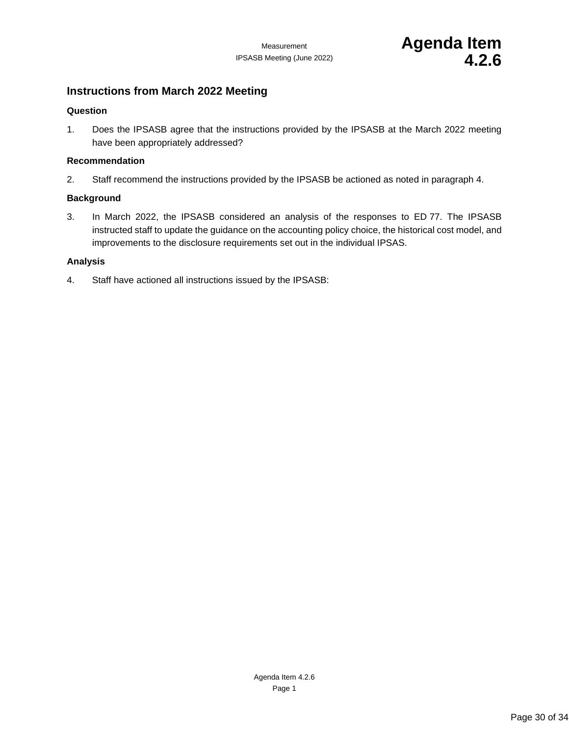### <span id="page-29-0"></span>**Instructions from March 2022 Meeting**

### **Question**

1. Does the IPSASB agree that the instructions provided by the IPSASB at the March 2022 meeting have been appropriately addressed?

### **Recommendation**

2. Staff recommend the instructions provided by the IPSASB be actioned as noted in paragraph 4.

### **Background**

3. In March 2022, the IPSASB considered an analysis of the responses to ED 77. The IPSASB instructed staff to update the guidance on the accounting policy choice, the historical cost model, and improvements to the disclosure requirements set out in the individual IPSAS.

### **Analysis**

4. Staff have actioned all instructions issued by the IPSASB: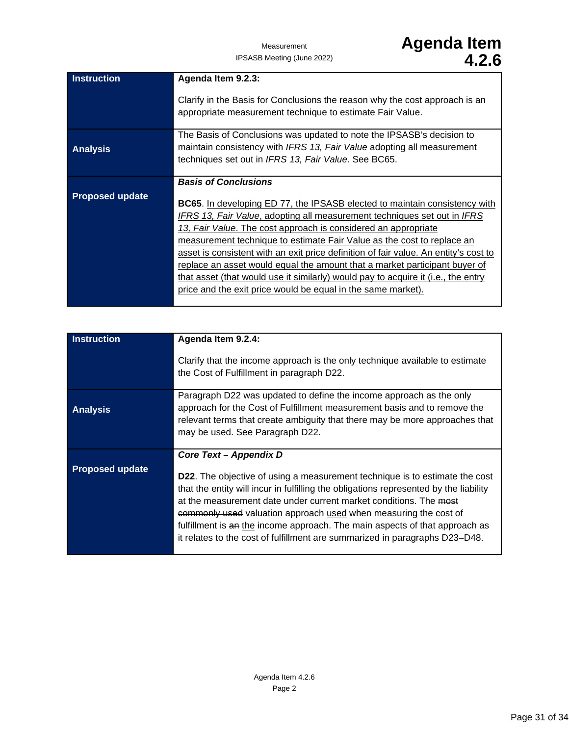| <b>Instruction</b>     | Agenda Item 9.2.3:                                                                   |
|------------------------|--------------------------------------------------------------------------------------|
|                        | Clarify in the Basis for Conclusions the reason why the cost approach is an          |
|                        | appropriate measurement technique to estimate Fair Value.                            |
|                        | The Basis of Conclusions was updated to note the IPSASB's decision to                |
| <b>Analysis</b>        | maintain consistency with IFRS 13, Fair Value adopting all measurement               |
|                        | techniques set out in IFRS 13, Fair Value. See BC65.                                 |
|                        |                                                                                      |
|                        | <b>Basis of Conclusions</b>                                                          |
| <b>Proposed update</b> | <b>BC65.</b> In developing ED 77, the IPSASB elected to maintain consistency with    |
|                        | <b>IFRS 13, Fair Value, adopting all measurement techniques set out in IFRS</b>      |
|                        |                                                                                      |
|                        | 13, Fair Value. The cost approach is considered an appropriate                       |
|                        | measurement technique to estimate Fair Value as the cost to replace an               |
|                        | asset is consistent with an exit price definition of fair value. An entity's cost to |
|                        | replace an asset would equal the amount that a market participant buyer of           |
|                        | that asset (that would use it similarly) would pay to acquire it (i.e., the entry    |
|                        | price and the exit price would be equal in the same market).                         |
|                        |                                                                                      |

| <b>Instruction</b>     | Agenda Item 9.2.4:<br>Clarify that the income approach is the only technique available to estimate<br>the Cost of Fulfillment in paragraph D22.                                                                                                                                                                                                                                                                                                                                    |
|------------------------|------------------------------------------------------------------------------------------------------------------------------------------------------------------------------------------------------------------------------------------------------------------------------------------------------------------------------------------------------------------------------------------------------------------------------------------------------------------------------------|
| <b>Analysis</b>        | Paragraph D22 was updated to define the income approach as the only<br>approach for the Cost of Fulfillment measurement basis and to remove the<br>relevant terms that create ambiguity that there may be more approaches that<br>may be used. See Paragraph D22.                                                                                                                                                                                                                  |
|                        | Core Text – Appendix D                                                                                                                                                                                                                                                                                                                                                                                                                                                             |
| <b>Proposed update</b> | <b>D22.</b> The objective of using a measurement technique is to estimate the cost<br>that the entity will incur in fulfilling the obligations represented by the liability<br>at the measurement date under current market conditions. The most<br>commonly used valuation approach used when measuring the cost of<br>fulfillment is an the income approach. The main aspects of that approach as<br>it relates to the cost of fulfillment are summarized in paragraphs D23–D48. |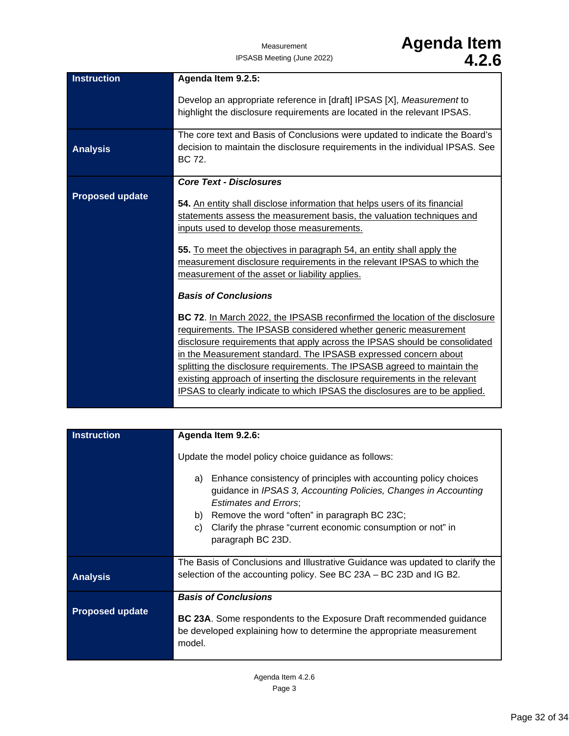| <b>Instruction</b>     | Agenda Item 9.2.5:                                                                                                                                                                                                                                                                                                                                                                                                                                                                                                                                                                                                                                                                                                                                                                                                                                                                                                                                                                |
|------------------------|-----------------------------------------------------------------------------------------------------------------------------------------------------------------------------------------------------------------------------------------------------------------------------------------------------------------------------------------------------------------------------------------------------------------------------------------------------------------------------------------------------------------------------------------------------------------------------------------------------------------------------------------------------------------------------------------------------------------------------------------------------------------------------------------------------------------------------------------------------------------------------------------------------------------------------------------------------------------------------------|
|                        |                                                                                                                                                                                                                                                                                                                                                                                                                                                                                                                                                                                                                                                                                                                                                                                                                                                                                                                                                                                   |
|                        | Develop an appropriate reference in [draft] IPSAS [X], Measurement to<br>highlight the disclosure requirements are located in the relevant IPSAS.                                                                                                                                                                                                                                                                                                                                                                                                                                                                                                                                                                                                                                                                                                                                                                                                                                 |
|                        | The core text and Basis of Conclusions were updated to indicate the Board's                                                                                                                                                                                                                                                                                                                                                                                                                                                                                                                                                                                                                                                                                                                                                                                                                                                                                                       |
| <b>Analysis</b>        | decision to maintain the disclosure requirements in the individual IPSAS. See<br>BC 72.                                                                                                                                                                                                                                                                                                                                                                                                                                                                                                                                                                                                                                                                                                                                                                                                                                                                                           |
|                        | <b>Core Text - Disclosures</b>                                                                                                                                                                                                                                                                                                                                                                                                                                                                                                                                                                                                                                                                                                                                                                                                                                                                                                                                                    |
| <b>Proposed update</b> | 54. An entity shall disclose information that helps users of its financial<br>statements assess the measurement basis, the valuation techniques and<br>inputs used to develop those measurements.<br>55. To meet the objectives in paragraph 54, an entity shall apply the<br>measurement disclosure requirements in the relevant IPSAS to which the<br>measurement of the asset or liability applies.<br><b>Basis of Conclusions</b><br>BC 72. In March 2022, the IPSASB reconfirmed the location of the disclosure<br>requirements. The IPSASB considered whether generic measurement<br>disclosure requirements that apply across the IPSAS should be consolidated<br>in the Measurement standard. The IPSASB expressed concern about<br>splitting the disclosure requirements. The IPSASB agreed to maintain the<br>existing approach of inserting the disclosure requirements in the relevant<br>IPSAS to clearly indicate to which IPSAS the disclosures are to be applied. |
|                        |                                                                                                                                                                                                                                                                                                                                                                                                                                                                                                                                                                                                                                                                                                                                                                                                                                                                                                                                                                                   |

| <b>Instruction</b>     | Agenda Item 9.2.6:                                                                                                                                                                                                                                                                                                        |
|------------------------|---------------------------------------------------------------------------------------------------------------------------------------------------------------------------------------------------------------------------------------------------------------------------------------------------------------------------|
|                        | Update the model policy choice guidance as follows:                                                                                                                                                                                                                                                                       |
|                        | Enhance consistency of principles with accounting policy choices<br>a)<br>guidance in IPSAS 3, Accounting Policies, Changes in Accounting<br><b>Estimates and Errors;</b><br>Remove the word "often" in paragraph BC 23C;<br>b)<br>Clarify the phrase "current economic consumption or not" in<br>C)<br>paragraph BC 23D. |
| <b>Analysis</b>        | The Basis of Conclusions and Illustrative Guidance was updated to clarify the<br>selection of the accounting policy. See BC 23A – BC 23D and IG B2.                                                                                                                                                                       |
| <b>Proposed update</b> | <b>Basis of Conclusions</b><br>BC 23A. Some respondents to the Exposure Draft recommended guidance<br>be developed explaining how to determine the appropriate measurement<br>model.                                                                                                                                      |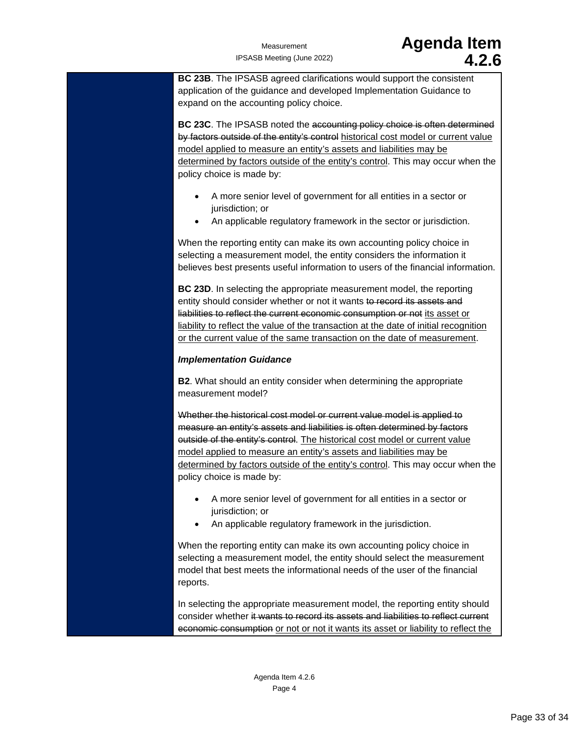**BC 23B**. The IPSASB agreed clarifications would support the consistent application of the guidance and developed Implementation Guidance to expand on the accounting policy choice.

**BC 23C**. The IPSASB noted the accounting policy choice is often determined by factors outside of the entity's control historical cost model or current value model applied to measure an entity's assets and liabilities may be determined by factors outside of the entity's control. This may occur when the policy choice is made by:

- A more senior level of government for all entities in a sector or jurisdiction; or
- An applicable regulatory framework in the sector or jurisdiction.

When the reporting entity can make its own accounting policy choice in selecting a measurement model, the entity considers the information it believes best presents useful information to users of the financial information.

**BC 23D**. In selecting the appropriate measurement model, the reporting entity should consider whether or not it wants to record its assets and liabilities to reflect the current economic consumption or not its asset or liability to reflect the value of the transaction at the date of initial recognition or the current value of the same transaction on the date of measurement.

### *Implementation Guidance*

**B2**. What should an entity consider when determining the appropriate measurement model?

Whether the historical cost model or current value model is applied to measure an entity's assets and liabilities is often determined by factors outside of the entity's control. The historical cost model or current value model applied to measure an entity's assets and liabilities may be determined by factors outside of the entity's control. This may occur when the policy choice is made by:

- A more senior level of government for all entities in a sector or jurisdiction; or
- An applicable regulatory framework in the jurisdiction.

When the reporting entity can make its own accounting policy choice in selecting a measurement model, the entity should select the measurement model that best meets the informational needs of the user of the financial reports.

In selecting the appropriate measurement model, the reporting entity should consider whether it wants to record its assets and liabilities to reflect current economic consumption or not or not it wants its asset or liability to reflect the